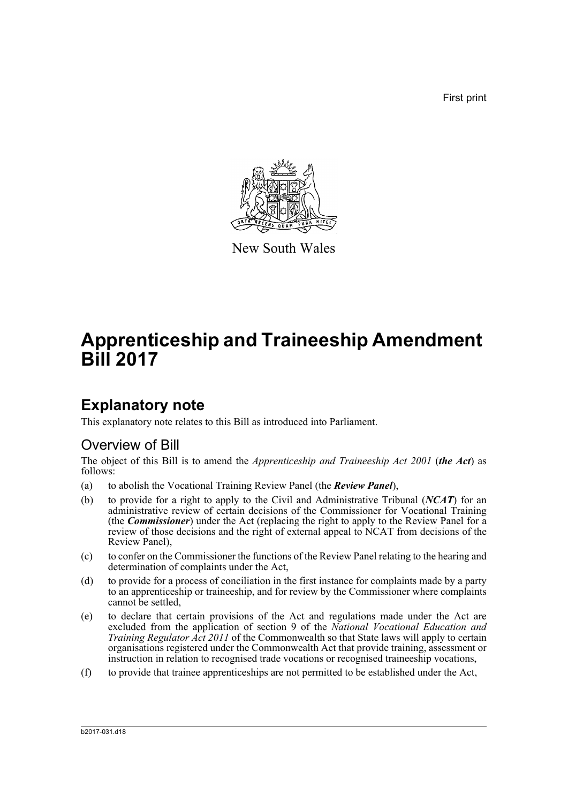First print



New South Wales

# **Apprenticeship and Traineeship Amendment Bill 2017**

# **Explanatory note**

This explanatory note relates to this Bill as introduced into Parliament.

# Overview of Bill

The object of this Bill is to amend the *Apprenticeship and Traineeship Act 2001* (*the Act*) as follows:

- (a) to abolish the Vocational Training Review Panel (the *Review Panel*),
- (b) to provide for a right to apply to the Civil and Administrative Tribunal (*NCAT*) for an administrative review of certain decisions of the Commissioner for Vocational Training (the *Commissioner*) under the Act (replacing the right to apply to the Review Panel for a review of those decisions and the right of external appeal to NCAT from decisions of the Review Panel),
- (c) to confer on the Commissioner the functions of the Review Panel relating to the hearing and determination of complaints under the Act,
- (d) to provide for a process of conciliation in the first instance for complaints made by a party to an apprenticeship or traineeship, and for review by the Commissioner where complaints cannot be settled,
- (e) to declare that certain provisions of the Act and regulations made under the Act are excluded from the application of section 9 of the *National Vocational Education and Training Regulator Act 2011* of the Commonwealth so that State laws will apply to certain organisations registered under the Commonwealth Act that provide training, assessment or instruction in relation to recognised trade vocations or recognised traineeship vocations,
- (f) to provide that trainee apprenticeships are not permitted to be established under the Act,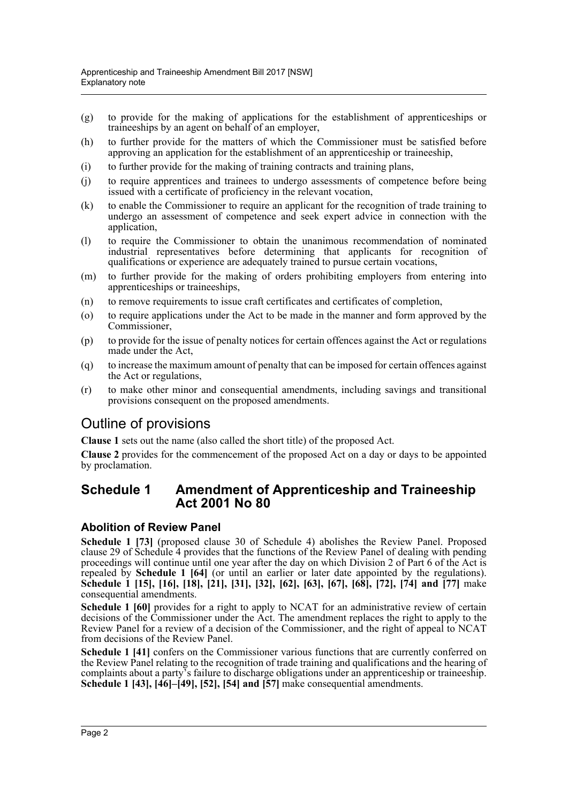- (g) to provide for the making of applications for the establishment of apprenticeships or traineeships by an agent on behalf of an employer,
- (h) to further provide for the matters of which the Commissioner must be satisfied before approving an application for the establishment of an apprenticeship or traineeship,
- (i) to further provide for the making of training contracts and training plans,
- (j) to require apprentices and trainees to undergo assessments of competence before being issued with a certificate of proficiency in the relevant vocation,
- (k) to enable the Commissioner to require an applicant for the recognition of trade training to undergo an assessment of competence and seek expert advice in connection with the application,
- (l) to require the Commissioner to obtain the unanimous recommendation of nominated industrial representatives before determining that applicants for recognition of qualifications or experience are adequately trained to pursue certain vocations,
- (m) to further provide for the making of orders prohibiting employers from entering into apprenticeships or traineeships,
- (n) to remove requirements to issue craft certificates and certificates of completion,
- (o) to require applications under the Act to be made in the manner and form approved by the Commissioner,
- (p) to provide for the issue of penalty notices for certain offences against the Act or regulations made under the Act,
- (q) to increase the maximum amount of penalty that can be imposed for certain offences against the Act or regulations,
- (r) to make other minor and consequential amendments, including savings and transitional provisions consequent on the proposed amendments.

# Outline of provisions

**Clause 1** sets out the name (also called the short title) of the proposed Act.

**Clause 2** provides for the commencement of the proposed Act on a day or days to be appointed by proclamation.

# **Schedule 1 Amendment of Apprenticeship and Traineeship Act 2001 No 80**

## **Abolition of Review Panel**

**Schedule 1 [73]** (proposed clause 30 of Schedule 4) abolishes the Review Panel. Proposed clause 29 of Schedule 4 provides that the functions of the Review Panel of dealing with pending proceedings will continue until one year after the day on which Division 2 of Part 6 of the Act is repealed by **Schedule 1 [64]** (or until an earlier or later date appointed by the regulations). **Schedule 1 [15], [16], [18], [21], [31], [32], [62], [63], [67], [68], [72], [74] and [77]** make consequential amendments.

**Schedule 1 [60]** provides for a right to apply to NCAT for an administrative review of certain decisions of the Commissioner under the Act. The amendment replaces the right to apply to the Review Panel for a review of a decision of the Commissioner, and the right of appeal to NCAT from decisions of the Review Panel.

**Schedule 1 [41]** confers on the Commissioner various functions that are currently conferred on the Review Panel relating to the recognition of trade training and qualifications and the hearing of complaints about a party's failure to discharge obligations under an apprenticeship or traineeship. **Schedule 1 [43], [46]–[49], [52], [54] and [57]** make consequential amendments.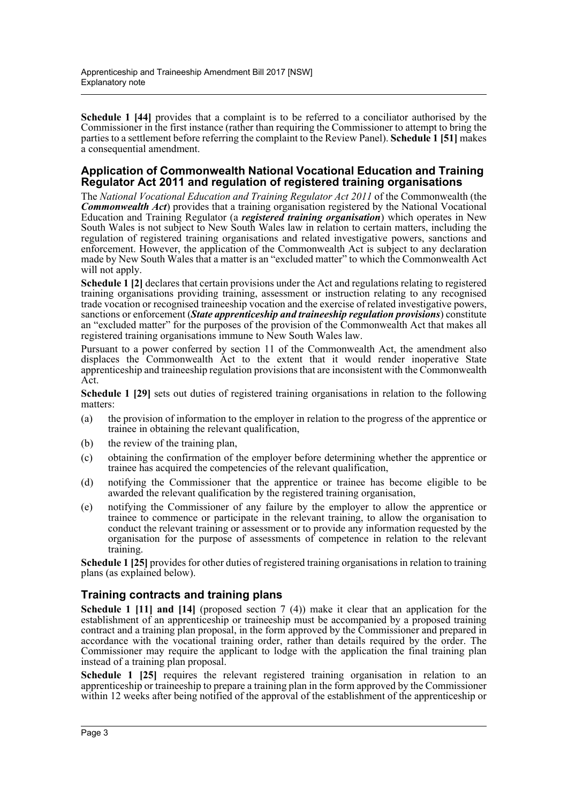**Schedule 1 [44]** provides that a complaint is to be referred to a conciliator authorised by the Commissioner in the first instance (rather than requiring the Commissioner to attempt to bring the parties to a settlement before referring the complaint to the Review Panel). **Schedule 1 [51]** makes a consequential amendment.

### **Application of Commonwealth National Vocational Education and Training Regulator Act 2011 and regulation of registered training organisations**

The *National Vocational Education and Training Regulator Act 2011* of the Commonwealth (the *Commonwealth Act*) provides that a training organisation registered by the National Vocational Education and Training Regulator (a *registered training organisation*) which operates in New South Wales is not subject to New South Wales law in relation to certain matters, including the regulation of registered training organisations and related investigative powers, sanctions and enforcement. However, the application of the Commonwealth Act is subject to any declaration made by New South Wales that a matter is an "excluded matter" to which the Commonwealth Act will not apply.

**Schedule 1 [2]** declares that certain provisions under the Act and regulations relating to registered training organisations providing training, assessment or instruction relating to any recognised trade vocation or recognised traineeship vocation and the exercise of related investigative powers, sanctions or enforcement (*State apprenticeship and traineeship regulation provisions*) constitute an "excluded matter" for the purposes of the provision of the Commonwealth Act that makes all registered training organisations immune to New South Wales law.

Pursuant to a power conferred by section 11 of the Commonwealth Act, the amendment also displaces the Commonwealth Act to the extent that it would render inoperative State apprenticeship and traineeship regulation provisions that are inconsistent with the Commonwealth Act.

**Schedule 1 [29]** sets out duties of registered training organisations in relation to the following matters:

- (a) the provision of information to the employer in relation to the progress of the apprentice or trainee in obtaining the relevant qualification,
- (b) the review of the training plan,
- (c) obtaining the confirmation of the employer before determining whether the apprentice or trainee has acquired the competencies of the relevant qualification,
- (d) notifying the Commissioner that the apprentice or trainee has become eligible to be awarded the relevant qualification by the registered training organisation,
- (e) notifying the Commissioner of any failure by the employer to allow the apprentice or trainee to commence or participate in the relevant training, to allow the organisation to conduct the relevant training or assessment or to provide any information requested by the organisation for the purpose of assessments of competence in relation to the relevant training.

**Schedule 1 [25]** provides for other duties of registered training organisations in relation to training plans (as explained below).

## **Training contracts and training plans**

**Schedule 1 [11] and [14]** (proposed section 7 (4)) make it clear that an application for the establishment of an apprenticeship or traineeship must be accompanied by a proposed training contract and a training plan proposal, in the form approved by the Commissioner and prepared in accordance with the vocational training order, rather than details required by the order. The Commissioner may require the applicant to lodge with the application the final training plan instead of a training plan proposal.

**Schedule 1 [25]** requires the relevant registered training organisation in relation to an apprenticeship or traineeship to prepare a training plan in the form approved by the Commissioner within 12 weeks after being notified of the approval of the establishment of the apprenticeship or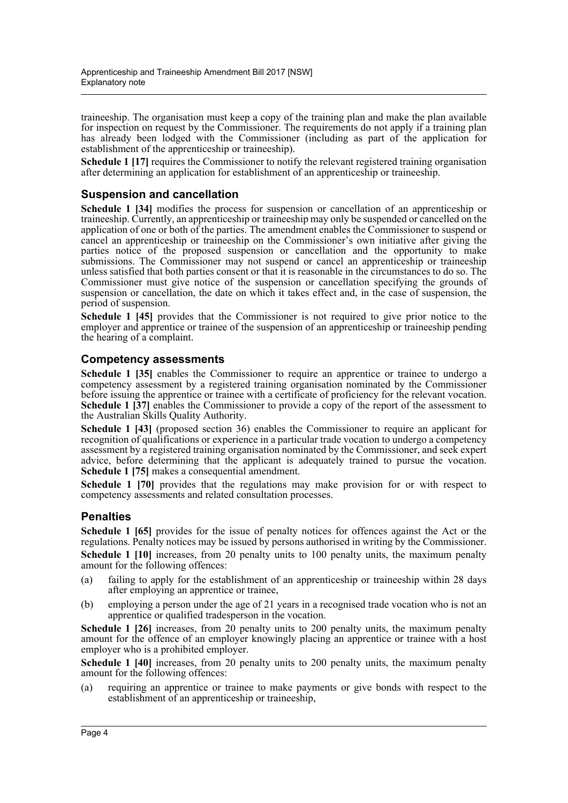traineeship. The organisation must keep a copy of the training plan and make the plan available for inspection on request by the Commissioner. The requirements do not apply if a training plan has already been lodged with the Commissioner (including as part of the application for establishment of the apprenticeship or traineeship).

**Schedule 1 [17]** requires the Commissioner to notify the relevant registered training organisation after determining an application for establishment of an apprenticeship or traineeship.

## **Suspension and cancellation**

**Schedule 1 [34]** modifies the process for suspension or cancellation of an apprenticeship or traineeship. Currently, an apprenticeship or traineeship may only be suspended or cancelled on the application of one or both of the parties. The amendment enables the Commissioner to suspend or cancel an apprenticeship or traineeship on the Commissioner's own initiative after giving the parties notice of the proposed suspension or cancellation and the opportunity to make submissions. The Commissioner may not suspend or cancel an apprenticeship or traineeship unless satisfied that both parties consent or that it is reasonable in the circumstances to do so. The Commissioner must give notice of the suspension or cancellation specifying the grounds of suspension or cancellation, the date on which it takes effect and, in the case of suspension, the period of suspension.

**Schedule 1 [45]** provides that the Commissioner is not required to give prior notice to the employer and apprentice or trainee of the suspension of an apprenticeship or traineeship pending the hearing of a complaint.

### **Competency assessments**

**Schedule 1 [35]** enables the Commissioner to require an apprentice or trainee to undergo a competency assessment by a registered training organisation nominated by the Commissioner before issuing the apprentice or trainee with a certificate of proficiency for the relevant vocation. **Schedule 1 [37]** enables the Commissioner to provide a copy of the report of the assessment to the Australian Skills Quality Authority.

**Schedule 1 [43]** (proposed section 36) enables the Commissioner to require an applicant for recognition of qualifications or experience in a particular trade vocation to undergo a competency assessment by a registered training organisation nominated by the Commissioner, and seek expert advice, before determining that the applicant is adequately trained to pursue the vocation. **Schedule 1 [75]** makes a consequential amendment.

**Schedule 1 [70]** provides that the regulations may make provision for or with respect to competency assessments and related consultation processes.

## **Penalties**

**Schedule 1 [65]** provides for the issue of penalty notices for offences against the Act or the regulations. Penalty notices may be issued by persons authorised in writing by the Commissioner. **Schedule 1 [10]** increases, from 20 penalty units to 100 penalty units, the maximum penalty amount for the following offences:

- (a) failing to apply for the establishment of an apprenticeship or traineeship within 28 days after employing an apprentice or trainee,
- (b) employing a person under the age of 21 years in a recognised trade vocation who is not an apprentice or qualified tradesperson in the vocation.

**Schedule 1 [26]** increases, from 20 penalty units to 200 penalty units, the maximum penalty amount for the offence of an employer knowingly placing an apprentice or trainee with a host employer who is a prohibited employer.

**Schedule 1 [40]** increases, from 20 penalty units to 200 penalty units, the maximum penalty amount for the following offences:

(a) requiring an apprentice or trainee to make payments or give bonds with respect to the establishment of an apprenticeship or traineeship,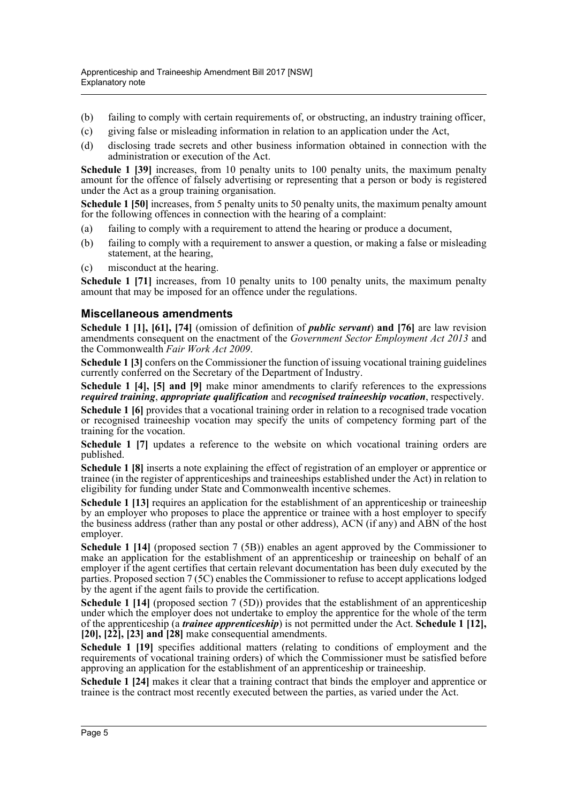- (b) failing to comply with certain requirements of, or obstructing, an industry training officer,
- (c) giving false or misleading information in relation to an application under the Act,
- (d) disclosing trade secrets and other business information obtained in connection with the administration or execution of the Act.

**Schedule 1 [39]** increases, from 10 penalty units to 100 penalty units, the maximum penalty amount for the offence of falsely advertising or representing that a person or body is registered under the Act as a group training organisation.

**Schedule 1 [50]** increases, from 5 penalty units to 50 penalty units, the maximum penalty amount for the following offences in connection with the hearing of a complaint:

- (a) failing to comply with a requirement to attend the hearing or produce a document,
- (b) failing to comply with a requirement to answer a question, or making a false or misleading statement, at the hearing,
- (c) misconduct at the hearing.

**Schedule 1 [71]** increases, from 10 penalty units to 100 penalty units, the maximum penalty amount that may be imposed for an offence under the regulations.

### **Miscellaneous amendments**

**Schedule 1 [1], [61], [74]** (omission of definition of *public servant*) **and [76]** are law revision amendments consequent on the enactment of the *Government Sector Employment Act 2013* and the Commonwealth *Fair Work Act 2009*.

**Schedule 1 [3]** confers on the Commissioner the function of issuing vocational training guidelines currently conferred on the Secretary of the Department of Industry.

**Schedule 1 [4], [5] and [9]** make minor amendments to clarify references to the expressions *required training*, *appropriate qualification* and *recognised traineeship vocation*, respectively.

**Schedule 1 [6]** provides that a vocational training order in relation to a recognised trade vocation or recognised traineeship vocation may specify the units of competency forming part of the training for the vocation.

**Schedule 1 [7]** updates a reference to the website on which vocational training orders are published.

**Schedule 1 [8]** inserts a note explaining the effect of registration of an employer or apprentice or trainee (in the register of apprenticeships and traineeships established under the Act) in relation to eligibility for funding under State and Commonwealth incentive schemes.

**Schedule 1 [13]** requires an application for the establishment of an apprenticeship or traineeship by an employer who proposes to place the apprentice or trainee with a host employer to specify the business address (rather than any postal or other address), ACN (if any) and ABN of the host employer.

**Schedule 1 [14]** (proposed section 7 (5B)) enables an agent approved by the Commissioner to make an application for the establishment of an apprenticeship or traineeship on behalf of an employer if the agent certifies that certain relevant documentation has been duly executed by the parties. Proposed section 7 (5C) enables the Commissioner to refuse to accept applications lodged by the agent if the agent fails to provide the certification.

**Schedule 1 [14]** (proposed section 7 (5D)) provides that the establishment of an apprenticeship under which the employer does not undertake to employ the apprentice for the whole of the term of the apprenticeship (a *trainee apprenticeship*) is not permitted under the Act. **Schedule 1 [12], [20], [22], [23] and [28]** make consequential amendments.

**Schedule 1 [19]** specifies additional matters (relating to conditions of employment and the requirements of vocational training orders) of which the Commissioner must be satisfied before approving an application for the establishment of an apprenticeship or traineeship.

**Schedule 1 [24]** makes it clear that a training contract that binds the employer and apprentice or trainee is the contract most recently executed between the parties, as varied under the Act.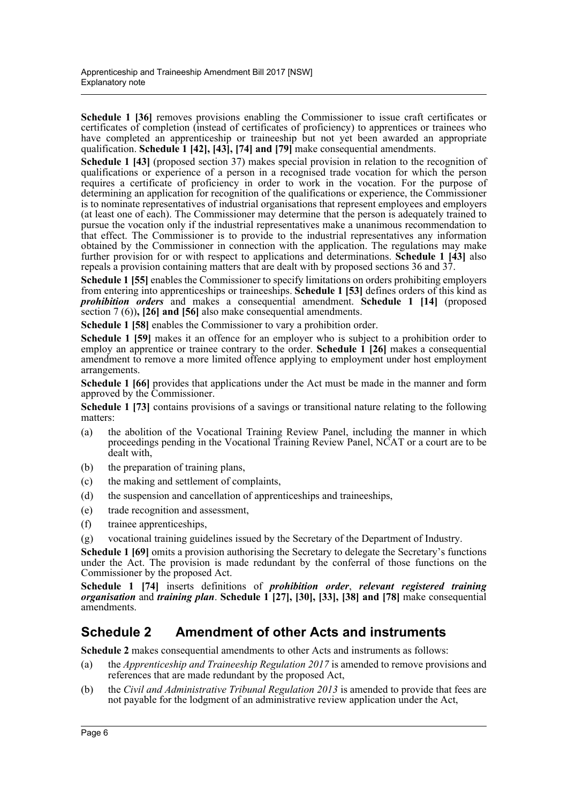**Schedule 1 [36]** removes provisions enabling the Commissioner to issue craft certificates or certificates of completion (instead of certificates of proficiency) to apprentices or trainees who have completed an apprenticeship or traineeship but not yet been awarded an appropriate qualification. **Schedule 1 [42], [43], [74] and [79]** make consequential amendments.

**Schedule 1 [43]** (proposed section 37) makes special provision in relation to the recognition of qualifications or experience of a person in a recognised trade vocation for which the person requires a certificate of proficiency in order to work in the vocation. For the purpose of determining an application for recognition of the qualifications or experience, the Commissioner is to nominate representatives of industrial organisations that represent employees and employers (at least one of each). The Commissioner may determine that the person is adequately trained to pursue the vocation only if the industrial representatives make a unanimous recommendation to that effect. The Commissioner is to provide to the industrial representatives any information obtained by the Commissioner in connection with the application. The regulations may make further provision for or with respect to applications and determinations. **Schedule 1 [43]** also repeals a provision containing matters that are dealt with by proposed sections 36 and 37.

**Schedule 1 [55]** enables the Commissioner to specify limitations on orders prohibiting employers from entering into apprenticeships or traineeships. **Schedule 1 [53]** defines orders of this kind as *prohibition orders* and makes a consequential amendment. **Schedule 1 [14]** (proposed section 7 (6))**, [26] and [56]** also make consequential amendments.

**Schedule 1 [58]** enables the Commissioner to vary a prohibition order.

**Schedule 1 [59]** makes it an offence for an employer who is subject to a prohibition order to employ an apprentice or trainee contrary to the order. **Schedule 1 [26]** makes a consequential amendment to remove a more limited offence applying to employment under host employment arrangements.

**Schedule 1 [66]** provides that applications under the Act must be made in the manner and form approved by the Commissioner.

**Schedule 1 [73]** contains provisions of a savings or transitional nature relating to the following matters:

- (a) the abolition of the Vocational Training Review Panel, including the manner in which proceedings pending in the Vocational Training Review Panel, NCAT or a court are to be dealt with,
- (b) the preparation of training plans,
- (c) the making and settlement of complaints,
- (d) the suspension and cancellation of apprenticeships and traineeships,
- (e) trade recognition and assessment,
- (f) trainee apprenticeships,
- (g) vocational training guidelines issued by the Secretary of the Department of Industry.

**Schedule 1 [69]** omits a provision authorising the Secretary to delegate the Secretary's functions under the Act. The provision is made redundant by the conferral of those functions on the Commissioner by the proposed Act.

**Schedule 1 [74]** inserts definitions of *prohibition order*, *relevant registered training organisation* and *training plan*. **Schedule 1 [27], [30], [33], [38] and [78]** make consequential amendments.

# **Schedule 2 Amendment of other Acts and instruments**

**Schedule 2** makes consequential amendments to other Acts and instruments as follows:

- (a) the *Apprenticeship and Traineeship Regulation 2017* is amended to remove provisions and references that are made redundant by the proposed Act,
- (b) the *Civil and Administrative Tribunal Regulation 2013* is amended to provide that fees are not payable for the lodgment of an administrative review application under the Act,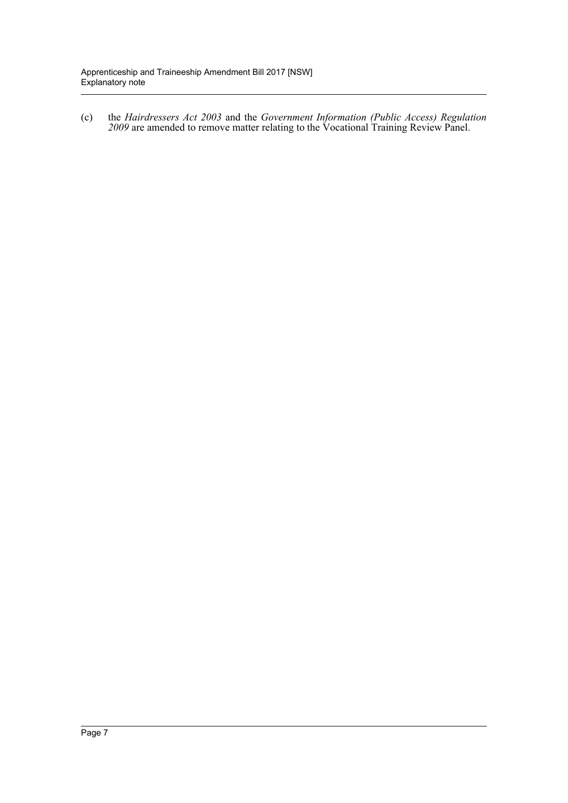(c) the *Hairdressers Act 2003* and the *Government Information (Public Access) Regulation 2009* are amended to remove matter relating to the Vocational Training Review Panel.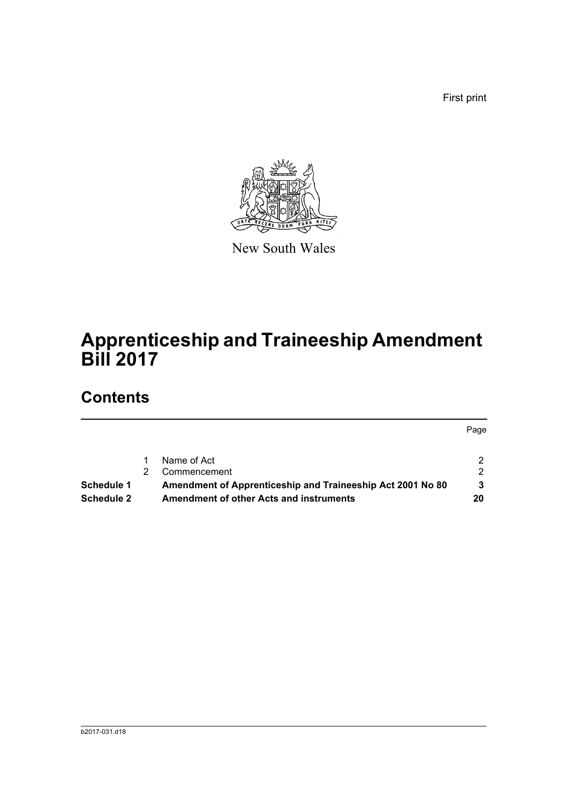First print

Page



New South Wales

# **Apprenticeship and Traineeship Amendment Bill 2017**

# **Contents**

|                   | Name of Act                                                |    |
|-------------------|------------------------------------------------------------|----|
|                   | Commencement                                               | 2. |
| <b>Schedule 1</b> | Amendment of Apprenticeship and Traineeship Act 2001 No 80 | 3  |
| <b>Schedule 2</b> | <b>Amendment of other Acts and instruments</b>             | 20 |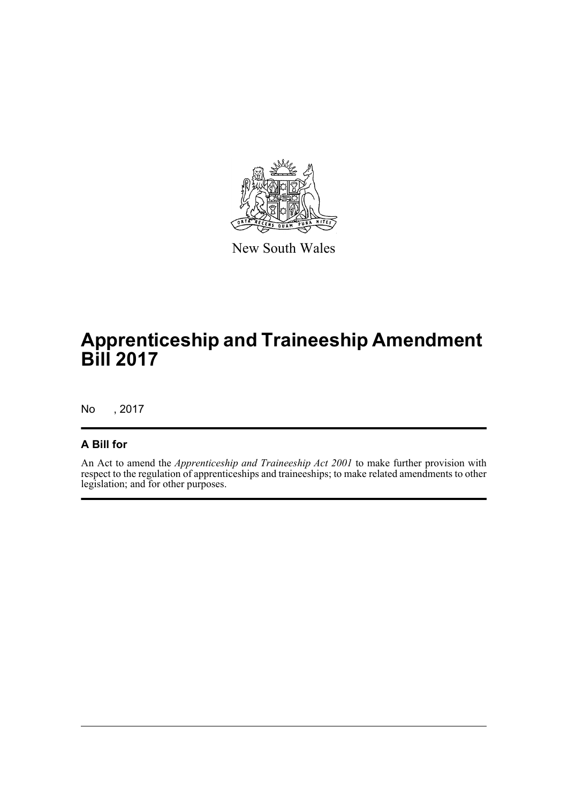

New South Wales

# **Apprenticeship and Traineeship Amendment Bill 2017**

No , 2017

## **A Bill for**

An Act to amend the *Apprenticeship and Traineeship Act 2001* to make further provision with respect to the regulation of apprenticeships and traineeships; to make related amendments to other legislation; and for other purposes.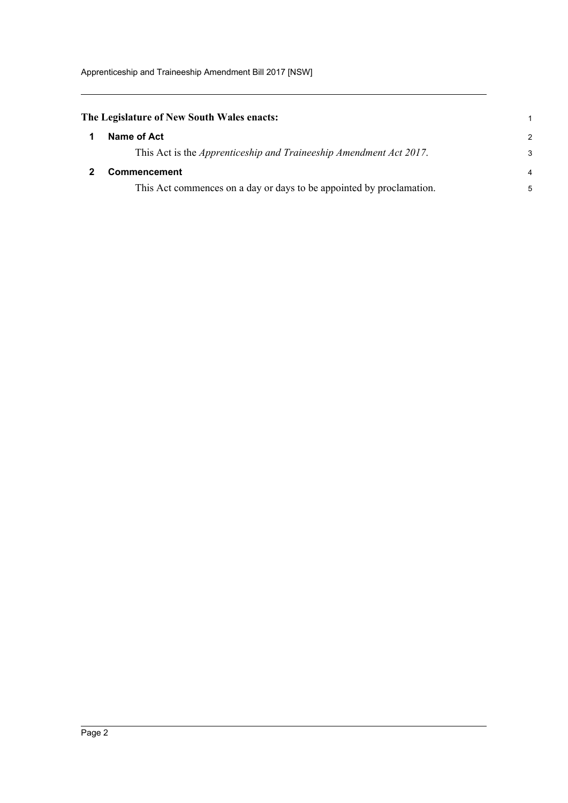<span id="page-9-1"></span><span id="page-9-0"></span>

| The Legislature of New South Wales enacts:                                 |                |
|----------------------------------------------------------------------------|----------------|
| Name of Act                                                                | $\mathcal{P}$  |
| This Act is the <i>Apprenticeship and Traineeship Amendment Act 2017</i> . | 3              |
| <b>Commencement</b>                                                        | $\overline{4}$ |
| This Act commences on a day or days to be appointed by proclamation.       | 5              |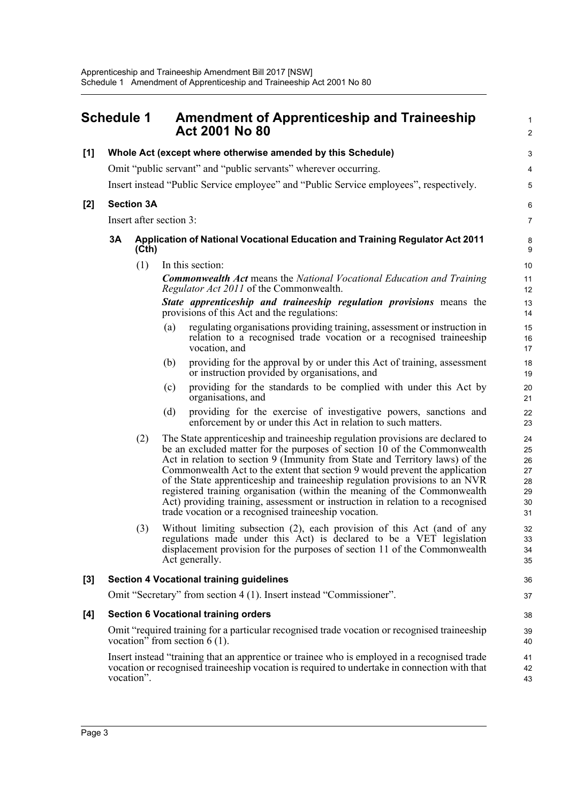<span id="page-10-0"></span>

| <b>Schedule 1</b> |                                                                                                                                                                                                            |                         | <b>Amendment of Apprenticeship and Traineeship</b><br><b>Act 2001 No 80</b> | $\mathbf{1}$<br>$\overline{2}$                                                                                                                                                                                                                                                                                                                                                                                                                                                                                                                                                                                                 |                                              |  |
|-------------------|------------------------------------------------------------------------------------------------------------------------------------------------------------------------------------------------------------|-------------------------|-----------------------------------------------------------------------------|--------------------------------------------------------------------------------------------------------------------------------------------------------------------------------------------------------------------------------------------------------------------------------------------------------------------------------------------------------------------------------------------------------------------------------------------------------------------------------------------------------------------------------------------------------------------------------------------------------------------------------|----------------------------------------------|--|
| [1]               |                                                                                                                                                                                                            |                         |                                                                             | Whole Act (except where otherwise amended by this Schedule)                                                                                                                                                                                                                                                                                                                                                                                                                                                                                                                                                                    | $\ensuremath{\mathsf{3}}$                    |  |
|                   |                                                                                                                                                                                                            |                         |                                                                             | Omit "public servant" and "public servants" wherever occurring.                                                                                                                                                                                                                                                                                                                                                                                                                                                                                                                                                                | 4                                            |  |
|                   |                                                                                                                                                                                                            |                         |                                                                             | Insert instead "Public Service employee" and "Public Service employees", respectively.                                                                                                                                                                                                                                                                                                                                                                                                                                                                                                                                         | 5                                            |  |
| $[2]$             |                                                                                                                                                                                                            | <b>Section 3A</b>       |                                                                             |                                                                                                                                                                                                                                                                                                                                                                                                                                                                                                                                                                                                                                | 6                                            |  |
|                   |                                                                                                                                                                                                            | Insert after section 3: |                                                                             |                                                                                                                                                                                                                                                                                                                                                                                                                                                                                                                                                                                                                                | $\overline{7}$                               |  |
|                   | 3A                                                                                                                                                                                                         | (Cth)                   |                                                                             | Application of National Vocational Education and Training Regulator Act 2011                                                                                                                                                                                                                                                                                                                                                                                                                                                                                                                                                   | 8<br>9                                       |  |
|                   |                                                                                                                                                                                                            | (1)                     |                                                                             | In this section:                                                                                                                                                                                                                                                                                                                                                                                                                                                                                                                                                                                                               | 10                                           |  |
|                   |                                                                                                                                                                                                            |                         |                                                                             | <b>Commonwealth Act</b> means the National Vocational Education and Training<br><i>Regulator Act 2011</i> of the Commonwealth.                                                                                                                                                                                                                                                                                                                                                                                                                                                                                                 | 11<br>12                                     |  |
|                   |                                                                                                                                                                                                            |                         |                                                                             | State apprenticeship and traineeship regulation provisions means the<br>provisions of this Act and the regulations:                                                                                                                                                                                                                                                                                                                                                                                                                                                                                                            | 13<br>14                                     |  |
|                   |                                                                                                                                                                                                            |                         | (a)                                                                         | regulating organisations providing training, assessment or instruction in<br>relation to a recognised trade vocation or a recognised traineeship<br>vocation, and                                                                                                                                                                                                                                                                                                                                                                                                                                                              | 15<br>16<br>17                               |  |
|                   |                                                                                                                                                                                                            |                         | (b)                                                                         | providing for the approval by or under this Act of training, assessment<br>or instruction provided by organisations, and                                                                                                                                                                                                                                                                                                                                                                                                                                                                                                       | 18<br>19                                     |  |
|                   |                                                                                                                                                                                                            |                         | (c)                                                                         | providing for the standards to be complied with under this Act by<br>organisations, and                                                                                                                                                                                                                                                                                                                                                                                                                                                                                                                                        | 20<br>21                                     |  |
|                   |                                                                                                                                                                                                            |                         | (d)                                                                         | providing for the exercise of investigative powers, sanctions and<br>enforcement by or under this Act in relation to such matters.                                                                                                                                                                                                                                                                                                                                                                                                                                                                                             | 22<br>23                                     |  |
|                   |                                                                                                                                                                                                            | (2)                     |                                                                             | The State apprenticeship and traineeship regulation provisions are declared to<br>be an excluded matter for the purposes of section 10 of the Commonwealth<br>Act in relation to section 9 (Immunity from State and Territory laws) of the<br>Commonwealth Act to the extent that section 9 would prevent the application<br>of the State apprenticeship and traineeship regulation provisions to an NVR<br>registered training organisation (within the meaning of the Commonwealth<br>Act) providing training, assessment or instruction in relation to a recognised<br>trade vocation or a recognised traineeship vocation. | 24<br>25<br>26<br>27<br>28<br>29<br>30<br>31 |  |
|                   |                                                                                                                                                                                                            | (3)                     |                                                                             | Without limiting subsection (2), each provision of this Act (and of any<br>regulations made under this Act) is declared to be a VET legislation<br>displacement provision for the purposes of section 11 of the Commonwealth<br>Act generally.                                                                                                                                                                                                                                                                                                                                                                                 | 32<br>33<br>34<br>35                         |  |
| $[3]$             |                                                                                                                                                                                                            |                         |                                                                             | <b>Section 4 Vocational training guidelines</b>                                                                                                                                                                                                                                                                                                                                                                                                                                                                                                                                                                                | 36                                           |  |
|                   |                                                                                                                                                                                                            |                         |                                                                             | Omit "Secretary" from section 4 (1). Insert instead "Commissioner".                                                                                                                                                                                                                                                                                                                                                                                                                                                                                                                                                            | 37                                           |  |
| [4]               |                                                                                                                                                                                                            |                         |                                                                             | <b>Section 6 Vocational training orders</b>                                                                                                                                                                                                                                                                                                                                                                                                                                                                                                                                                                                    | 38                                           |  |
|                   | Omit "required training for a particular recognised trade vocation or recognised traineeship<br>vocation" from section $6(1)$ .                                                                            |                         |                                                                             |                                                                                                                                                                                                                                                                                                                                                                                                                                                                                                                                                                                                                                | 39<br>40                                     |  |
|                   | Insert instead "training that an apprentice or trainee who is employed in a recognised trade<br>vocation or recognised traineeship vocation is required to undertake in connection with that<br>vocation". |                         |                                                                             |                                                                                                                                                                                                                                                                                                                                                                                                                                                                                                                                                                                                                                |                                              |  |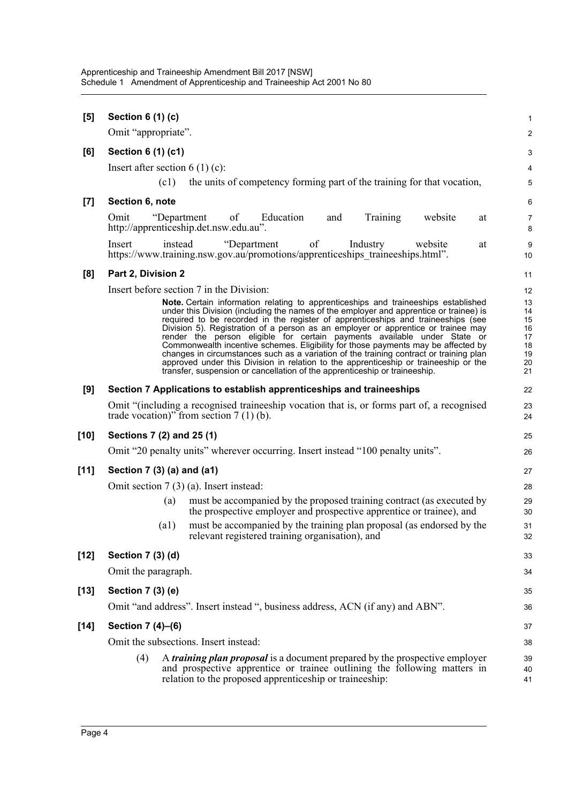| <b>Section 6 (1) (c)</b>                                                                                                                                                                                                         | 1<br>$\overline{\mathbf{c}}$                                                                                                                                                                                                                                                                                                                                                                                                                                                                                                                                                                                                                                                                                                                                                                                                                                                                                                                                                                                                     |
|----------------------------------------------------------------------------------------------------------------------------------------------------------------------------------------------------------------------------------|----------------------------------------------------------------------------------------------------------------------------------------------------------------------------------------------------------------------------------------------------------------------------------------------------------------------------------------------------------------------------------------------------------------------------------------------------------------------------------------------------------------------------------------------------------------------------------------------------------------------------------------------------------------------------------------------------------------------------------------------------------------------------------------------------------------------------------------------------------------------------------------------------------------------------------------------------------------------------------------------------------------------------------|
|                                                                                                                                                                                                                                  |                                                                                                                                                                                                                                                                                                                                                                                                                                                                                                                                                                                                                                                                                                                                                                                                                                                                                                                                                                                                                                  |
| Insert after section $6(1)(c)$ :                                                                                                                                                                                                 | 3<br>4                                                                                                                                                                                                                                                                                                                                                                                                                                                                                                                                                                                                                                                                                                                                                                                                                                                                                                                                                                                                                           |
|                                                                                                                                                                                                                                  | 5                                                                                                                                                                                                                                                                                                                                                                                                                                                                                                                                                                                                                                                                                                                                                                                                                                                                                                                                                                                                                                |
|                                                                                                                                                                                                                                  | 6                                                                                                                                                                                                                                                                                                                                                                                                                                                                                                                                                                                                                                                                                                                                                                                                                                                                                                                                                                                                                                |
| http://apprenticeship.det.nsw.edu.au".                                                                                                                                                                                           | 7<br>8                                                                                                                                                                                                                                                                                                                                                                                                                                                                                                                                                                                                                                                                                                                                                                                                                                                                                                                                                                                                                           |
| Insert<br>instead<br>of<br>website<br>at<br>https://www.training.nsw.gov.au/promotions/apprenticeships traineeships.html".                                                                                                       | 9<br>10                                                                                                                                                                                                                                                                                                                                                                                                                                                                                                                                                                                                                                                                                                                                                                                                                                                                                                                                                                                                                          |
| Part 2, Division 2                                                                                                                                                                                                               | 11                                                                                                                                                                                                                                                                                                                                                                                                                                                                                                                                                                                                                                                                                                                                                                                                                                                                                                                                                                                                                               |
| Insert before section 7 in the Division:                                                                                                                                                                                         | 12                                                                                                                                                                                                                                                                                                                                                                                                                                                                                                                                                                                                                                                                                                                                                                                                                                                                                                                                                                                                                               |
| Note. Certain information relating to apprenticeships and traineeships established                                                                                                                                               | 13<br>14                                                                                                                                                                                                                                                                                                                                                                                                                                                                                                                                                                                                                                                                                                                                                                                                                                                                                                                                                                                                                         |
| required to be recorded in the register of apprenticeships and traineeships (see                                                                                                                                                 | 15                                                                                                                                                                                                                                                                                                                                                                                                                                                                                                                                                                                                                                                                                                                                                                                                                                                                                                                                                                                                                               |
|                                                                                                                                                                                                                                  | 16<br>17                                                                                                                                                                                                                                                                                                                                                                                                                                                                                                                                                                                                                                                                                                                                                                                                                                                                                                                                                                                                                         |
|                                                                                                                                                                                                                                  | 18<br>19                                                                                                                                                                                                                                                                                                                                                                                                                                                                                                                                                                                                                                                                                                                                                                                                                                                                                                                                                                                                                         |
| approved under this Division in relation to the apprenticeship or traineeship or the                                                                                                                                             | 20                                                                                                                                                                                                                                                                                                                                                                                                                                                                                                                                                                                                                                                                                                                                                                                                                                                                                                                                                                                                                               |
|                                                                                                                                                                                                                                  | 21                                                                                                                                                                                                                                                                                                                                                                                                                                                                                                                                                                                                                                                                                                                                                                                                                                                                                                                                                                                                                               |
|                                                                                                                                                                                                                                  | 22                                                                                                                                                                                                                                                                                                                                                                                                                                                                                                                                                                                                                                                                                                                                                                                                                                                                                                                                                                                                                               |
| trade vocation)" from section $7(1)(b)$ .                                                                                                                                                                                        | 23<br>24                                                                                                                                                                                                                                                                                                                                                                                                                                                                                                                                                                                                                                                                                                                                                                                                                                                                                                                                                                                                                         |
| Sections 7 (2) and 25 (1)                                                                                                                                                                                                        | 25                                                                                                                                                                                                                                                                                                                                                                                                                                                                                                                                                                                                                                                                                                                                                                                                                                                                                                                                                                                                                               |
| Omit "20 penalty units" wherever occurring. Insert instead "100 penalty units".                                                                                                                                                  | 26                                                                                                                                                                                                                                                                                                                                                                                                                                                                                                                                                                                                                                                                                                                                                                                                                                                                                                                                                                                                                               |
| Section 7 (3) (a) and (a1)                                                                                                                                                                                                       | 27                                                                                                                                                                                                                                                                                                                                                                                                                                                                                                                                                                                                                                                                                                                                                                                                                                                                                                                                                                                                                               |
| Omit section $7(3)$ (a). Insert instead:                                                                                                                                                                                         | 28                                                                                                                                                                                                                                                                                                                                                                                                                                                                                                                                                                                                                                                                                                                                                                                                                                                                                                                                                                                                                               |
| must be accompanied by the proposed training contract (as executed by<br>(a)<br>the prospective employer and prospective apprentice or trainee), and                                                                             | 29<br>30                                                                                                                                                                                                                                                                                                                                                                                                                                                                                                                                                                                                                                                                                                                                                                                                                                                                                                                                                                                                                         |
| (a1)<br>relevant registered training organisation), and                                                                                                                                                                          | 31<br>32                                                                                                                                                                                                                                                                                                                                                                                                                                                                                                                                                                                                                                                                                                                                                                                                                                                                                                                                                                                                                         |
| Section 7 (3) (d)                                                                                                                                                                                                                | 33                                                                                                                                                                                                                                                                                                                                                                                                                                                                                                                                                                                                                                                                                                                                                                                                                                                                                                                                                                                                                               |
| Omit the paragraph.                                                                                                                                                                                                              | 34                                                                                                                                                                                                                                                                                                                                                                                                                                                                                                                                                                                                                                                                                                                                                                                                                                                                                                                                                                                                                               |
| Section 7 (3) (e)                                                                                                                                                                                                                | 35                                                                                                                                                                                                                                                                                                                                                                                                                                                                                                                                                                                                                                                                                                                                                                                                                                                                                                                                                                                                                               |
| Omit "and address". Insert instead ", business address, ACN (if any) and ABN".                                                                                                                                                   | 36                                                                                                                                                                                                                                                                                                                                                                                                                                                                                                                                                                                                                                                                                                                                                                                                                                                                                                                                                                                                                               |
| Section 7 (4)-(6)                                                                                                                                                                                                                | 37                                                                                                                                                                                                                                                                                                                                                                                                                                                                                                                                                                                                                                                                                                                                                                                                                                                                                                                                                                                                                               |
| Omit the subsections. Insert instead:                                                                                                                                                                                            | 38                                                                                                                                                                                                                                                                                                                                                                                                                                                                                                                                                                                                                                                                                                                                                                                                                                                                                                                                                                                                                               |
| (4)<br>A <i>training plan proposal</i> is a document prepared by the prospective employer<br>and prospective apprentice or trainee outlining the following matters in<br>relation to the proposed apprenticeship or traineeship: | 39<br>40<br>41                                                                                                                                                                                                                                                                                                                                                                                                                                                                                                                                                                                                                                                                                                                                                                                                                                                                                                                                                                                                                   |
|                                                                                                                                                                                                                                  | Omit "appropriate".<br>Section 6 (1) (c1)<br>(c1)<br>the units of competency forming part of the training for that vocation,<br>Section 6, note<br>Education<br>Omit<br>"Department"<br>of<br>and<br>Training<br>website<br>at<br>"Department<br>Industry<br>under this Division (including the names of the employer and apprentice or trainee) is<br>Division 5). Registration of a person as an employer or apprentice or trainee may<br>render the person eligible for certain payments available under State or<br>Commonwealth incentive schemes. Eligibility for those payments may be affected by<br>changes in circumstances such as a variation of the training contract or training plan<br>transfer, suspension or cancellation of the apprenticeship or traineeship.<br>Section 7 Applications to establish apprenticeships and traineeships<br>Omit "(including a recognised traineeship vocation that is, or forms part of, a recognised<br>must be accompanied by the training plan proposal (as endorsed by the |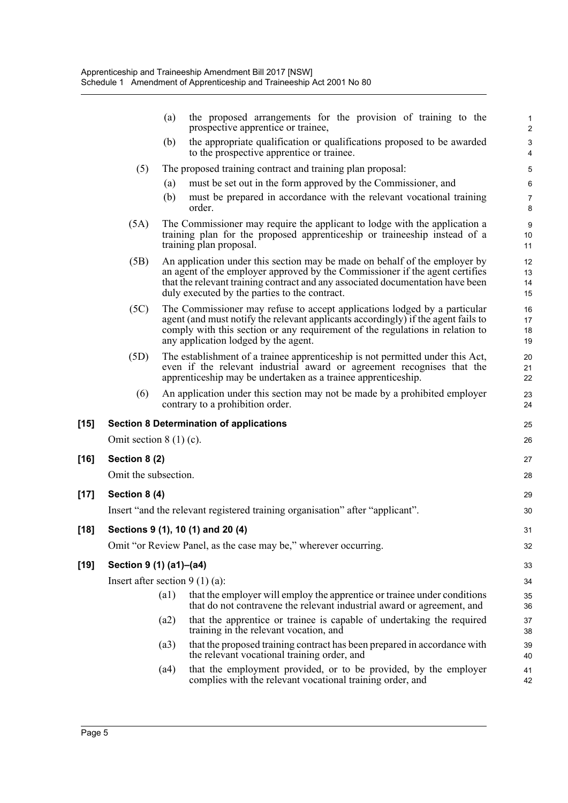|        |                                  | (a)  | the proposed arrangements for the provision of training to the<br>prospective apprentice or trainee,                                                                                                                                                                                          | $\mathbf{1}$<br>$\overline{c}$ |
|--------|----------------------------------|------|-----------------------------------------------------------------------------------------------------------------------------------------------------------------------------------------------------------------------------------------------------------------------------------------------|--------------------------------|
|        |                                  | (b)  | the appropriate qualification or qualifications proposed to be awarded<br>to the prospective apprentice or trainee.                                                                                                                                                                           | 3<br>$\overline{\mathbf{4}}$   |
|        | (5)                              |      | The proposed training contract and training plan proposal:                                                                                                                                                                                                                                    | 5                              |
|        |                                  | (a)  | must be set out in the form approved by the Commissioner, and                                                                                                                                                                                                                                 | $\,6\,$                        |
|        |                                  | (b)  | must be prepared in accordance with the relevant vocational training<br>order.                                                                                                                                                                                                                | $\overline{7}$<br>8            |
|        | (5A)                             |      | The Commissioner may require the applicant to lodge with the application a<br>training plan for the proposed apprenticeship or traineeship instead of a<br>training plan proposal.                                                                                                            | $9\,$<br>$10$<br>11            |
|        | (5B)                             |      | An application under this section may be made on behalf of the employer by<br>an agent of the employer approved by the Commissioner if the agent certifies<br>that the relevant training contract and any associated documentation have been<br>duly executed by the parties to the contract. | 12<br>13<br>14<br>15           |
|        | (5C)                             |      | The Commissioner may refuse to accept applications lodged by a particular<br>agent (and must notify the relevant applicants accordingly) if the agent fails to<br>comply with this section or any requirement of the regulations in relation to<br>any application lodged by the agent.       | 16<br>17<br>18<br>19           |
|        | (5D)                             |      | The establishment of a trainee apprenticeship is not permitted under this Act,<br>even if the relevant industrial award or agreement recognises that the<br>apprenticeship may be undertaken as a trainee apprenticeship.                                                                     | 20<br>21<br>22                 |
|        | (6)                              |      | An application under this section may not be made by a prohibited employer<br>contrary to a prohibition order.                                                                                                                                                                                | 23<br>24                       |
| $[15]$ |                                  |      | <b>Section 8 Determination of applications</b>                                                                                                                                                                                                                                                | 25                             |
|        | Omit section $8(1)(c)$ .         |      |                                                                                                                                                                                                                                                                                               | 26                             |
| [16]   | Section 8 (2)                    |      |                                                                                                                                                                                                                                                                                               | 27                             |
|        | Omit the subsection.             |      |                                                                                                                                                                                                                                                                                               | 28                             |
| $[17]$ | Section 8 (4)                    |      |                                                                                                                                                                                                                                                                                               | 29                             |
|        |                                  |      | Insert "and the relevant registered training organisation" after "applicant".                                                                                                                                                                                                                 | 30                             |
| $[18]$ |                                  |      | Sections 9 (1), 10 (1) and 20 (4)                                                                                                                                                                                                                                                             | 31                             |
|        |                                  |      | Omit "or Review Panel, as the case may be," wherever occurring.                                                                                                                                                                                                                               | 32                             |
| [19]   | Section 9 (1) (a1)-(a4)          |      |                                                                                                                                                                                                                                                                                               | 33                             |
|        | Insert after section $9(1)(a)$ : |      |                                                                                                                                                                                                                                                                                               | 34                             |
|        |                                  | (a1) | that the employer will employ the apprentice or trainee under conditions<br>that do not contravene the relevant industrial award or agreement, and                                                                                                                                            | 35<br>36                       |
|        |                                  | (a2) | that the apprentice or trainee is capable of undertaking the required<br>training in the relevant vocation, and                                                                                                                                                                               | 37<br>38                       |
|        |                                  | (a3) | that the proposed training contract has been prepared in accordance with<br>the relevant vocational training order, and                                                                                                                                                                       | 39<br>40                       |
|        |                                  | (a4) | that the employment provided, or to be provided, by the employer<br>complies with the relevant vocational training order, and                                                                                                                                                                 | 41<br>42                       |
|        |                                  |      |                                                                                                                                                                                                                                                                                               |                                |

[16]

[17]

 $[18]$ 

**[19] Section 9 (1) (a1)–(a4)**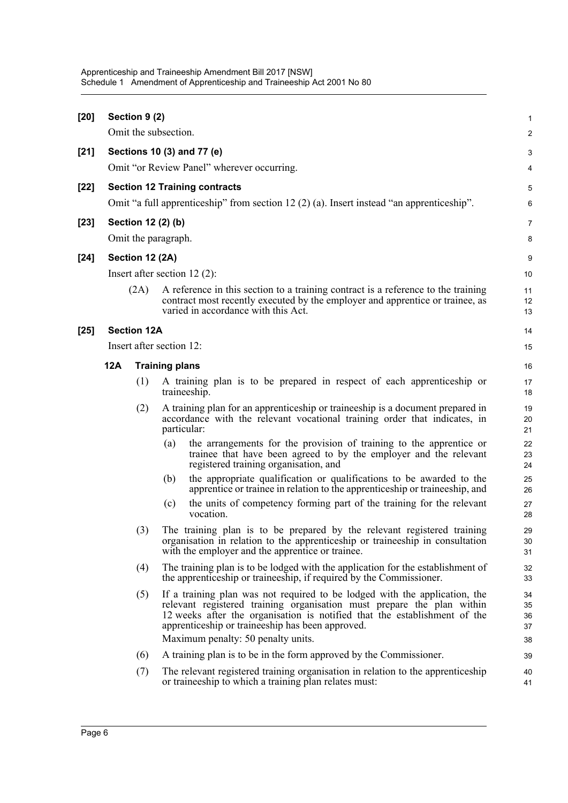| $[20]$ |     | Section 9 (2)      |                                                                                                                                                                                                                                                                                                                             | $\mathbf{1}$               |
|--------|-----|--------------------|-----------------------------------------------------------------------------------------------------------------------------------------------------------------------------------------------------------------------------------------------------------------------------------------------------------------------------|----------------------------|
|        |     |                    | Omit the subsection.                                                                                                                                                                                                                                                                                                        | 2                          |
| $[21]$ |     |                    | Sections 10 (3) and 77 (e)                                                                                                                                                                                                                                                                                                  | 3                          |
|        |     |                    | Omit "or Review Panel" wherever occurring.                                                                                                                                                                                                                                                                                  | 4                          |
| $[22]$ |     |                    | <b>Section 12 Training contracts</b><br>Omit "a full apprenticeship" from section 12 (2) (a). Insert instead "an apprenticeship".                                                                                                                                                                                           | 5<br>6                     |
| $[23]$ |     |                    | Section 12 (2) (b)                                                                                                                                                                                                                                                                                                          | $\overline{7}$             |
|        |     |                    | Omit the paragraph.                                                                                                                                                                                                                                                                                                         | 8                          |
| $[24]$ |     | Section 12 (2A)    |                                                                                                                                                                                                                                                                                                                             | 9                          |
|        |     |                    | Insert after section $12(2)$ :                                                                                                                                                                                                                                                                                              | 10                         |
|        |     | (2A)               | A reference in this section to a training contract is a reference to the training<br>contract most recently executed by the employer and apprentice or trainee, as<br>varied in accordance with this Act.                                                                                                                   | 11<br>12<br>13             |
| $[25]$ |     | <b>Section 12A</b> |                                                                                                                                                                                                                                                                                                                             | 14                         |
|        |     |                    | Insert after section 12:                                                                                                                                                                                                                                                                                                    | 15                         |
|        | 12A |                    | <b>Training plans</b>                                                                                                                                                                                                                                                                                                       | 16                         |
|        |     | (1)                | A training plan is to be prepared in respect of each apprenticeship or<br>traineeship.                                                                                                                                                                                                                                      | 17<br>18                   |
|        |     | (2)                | A training plan for an apprenticeship or traineeship is a document prepared in<br>accordance with the relevant vocational training order that indicates, in<br>particular:                                                                                                                                                  | 19<br>20<br>21             |
|        |     |                    | the arrangements for the provision of training to the apprentice or<br>(a)<br>trainee that have been agreed to by the employer and the relevant<br>registered training organisation, and                                                                                                                                    | 22<br>23<br>24             |
|        |     |                    | the appropriate qualification or qualifications to be awarded to the<br>(b)<br>apprentice or trainee in relation to the apprenticeship or traineeship, and                                                                                                                                                                  | 25<br>26                   |
|        |     |                    | the units of competency forming part of the training for the relevant<br>(c)<br>vocation.                                                                                                                                                                                                                                   | 27<br>28                   |
|        |     | (3)                | The training plan is to be prepared by the relevant registered training<br>organisation in relation to the apprenticeship or traineeship in consultation<br>with the employer and the apprentice or trainee.                                                                                                                | 29<br>30<br>31             |
|        |     | (4)                | The training plan is to be lodged with the application for the establishment of<br>the apprenticeship or traineeship, if required by the Commissioner.                                                                                                                                                                      | 32<br>33                   |
|        |     | (5)                | If a training plan was not required to be lodged with the application, the<br>relevant registered training organisation must prepare the plan within<br>12 weeks after the organisation is notified that the establishment of the<br>apprenticeship or traineeship has been approved.<br>Maximum penalty: 50 penalty units. | 34<br>35<br>36<br>37<br>38 |
|        |     | (6)                | A training plan is to be in the form approved by the Commissioner.                                                                                                                                                                                                                                                          | 39                         |
|        |     | (7)                | The relevant registered training organisation in relation to the apprenticeship<br>or traineeship to which a training plan relates must:                                                                                                                                                                                    | 40<br>41                   |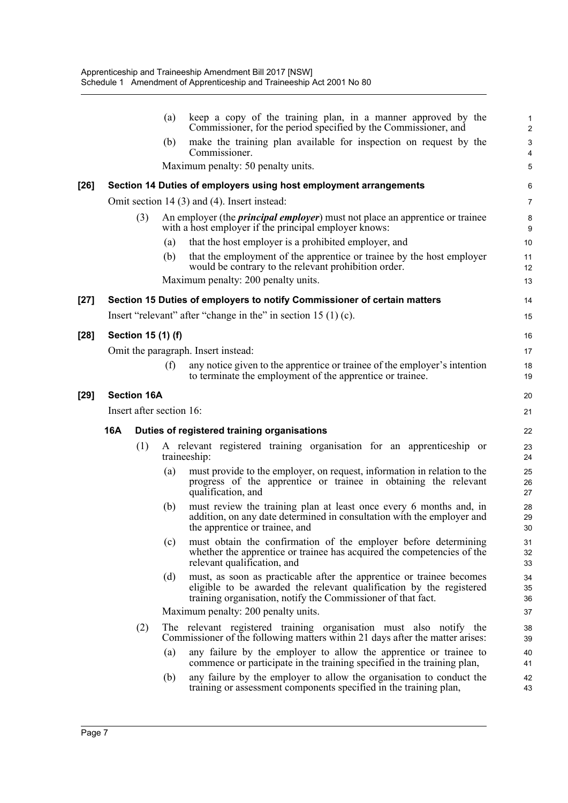|        |     |                          | (a) | keep a copy of the training plan, in a manner approved by the<br>Commissioner, for the period specified by the Commissioner, and                                                                            | 1<br>$\overline{c}$ |
|--------|-----|--------------------------|-----|-------------------------------------------------------------------------------------------------------------------------------------------------------------------------------------------------------------|---------------------|
|        |     |                          | (b) | make the training plan available for inspection on request by the<br>Commissioner.                                                                                                                          | 3<br>4              |
|        |     |                          |     | Maximum penalty: 50 penalty units.                                                                                                                                                                          | 5                   |
| [26]   |     |                          |     | Section 14 Duties of employers using host employment arrangements                                                                                                                                           | 6                   |
|        |     |                          |     | Omit section 14 (3) and (4). Insert instead:                                                                                                                                                                | 7                   |
|        |     | (3)                      |     | An employer (the <i>principal employer</i> ) must not place an apprentice or trainee<br>with a host employer if the principal employer knows:                                                               | 8<br>9              |
|        |     |                          | (a) | that the host employer is a prohibited employer, and                                                                                                                                                        | 10                  |
|        |     |                          | (b) | that the employment of the apprentice or trainee by the host employer<br>would be contrary to the relevant prohibition order.                                                                               | 11<br>12            |
|        |     |                          |     | Maximum penalty: 200 penalty units.                                                                                                                                                                         | 13                  |
| [27]   |     |                          |     | Section 15 Duties of employers to notify Commissioner of certain matters                                                                                                                                    | 14                  |
|        |     |                          |     | Insert "relevant" after "change in the" in section $15(1)(c)$ .                                                                                                                                             | 15                  |
| $[28]$ |     | Section 15 (1) (f)       |     |                                                                                                                                                                                                             | 16                  |
|        |     |                          |     | Omit the paragraph. Insert instead:                                                                                                                                                                         | 17                  |
|        |     |                          | (f) | any notice given to the apprentice or trainee of the employer's intention<br>to terminate the employment of the apprentice or trainee.                                                                      | 18<br>19            |
| [29]   |     | <b>Section 16A</b>       |     |                                                                                                                                                                                                             | 20                  |
|        |     | Insert after section 16: |     |                                                                                                                                                                                                             | 21                  |
|        | 16A |                          |     | Duties of registered training organisations                                                                                                                                                                 | 22                  |
|        |     | (1)                      |     | A relevant registered training organisation for an apprenticeship or<br>traineeship:                                                                                                                        | 23<br>24            |
|        |     |                          | (a) | must provide to the employer, on request, information in relation to the<br>progress of the apprentice or trainee in obtaining the relevant<br>qualification, and                                           | 25<br>26<br>27      |
|        |     |                          | (b) | must review the training plan at least once every 6 months and, in<br>addition, on any date determined in consultation with the employer and<br>the apprentice or trainee, and                              | 28<br>29<br>30      |
|        |     |                          | (c) | must obtain the confirmation of the employer before determining<br>whether the apprentice or trainee has acquired the competencies of the<br>relevant qualification, and                                    | 31<br>32<br>33      |
|        |     |                          | (d) | must, as soon as practicable after the apprentice or trainee becomes<br>eligible to be awarded the relevant qualification by the registered<br>training organisation, notify the Commissioner of that fact. | 34<br>35<br>36      |
|        |     |                          |     | Maximum penalty: 200 penalty units.                                                                                                                                                                         | 37                  |
|        |     | (2)                      |     | The relevant registered training organisation must also notify the<br>Commissioner of the following matters within 21 days after the matter arises:                                                         | 38<br>39            |
|        |     |                          | (a) | any failure by the employer to allow the apprentice or trainee to<br>commence or participate in the training specified in the training plan,                                                                | 40<br>41            |
|        |     |                          | (b) | any failure by the employer to allow the organisation to conduct the<br>training or assessment components specified in the training plan,                                                                   | 42<br>43            |
|        |     |                          |     |                                                                                                                                                                                                             |                     |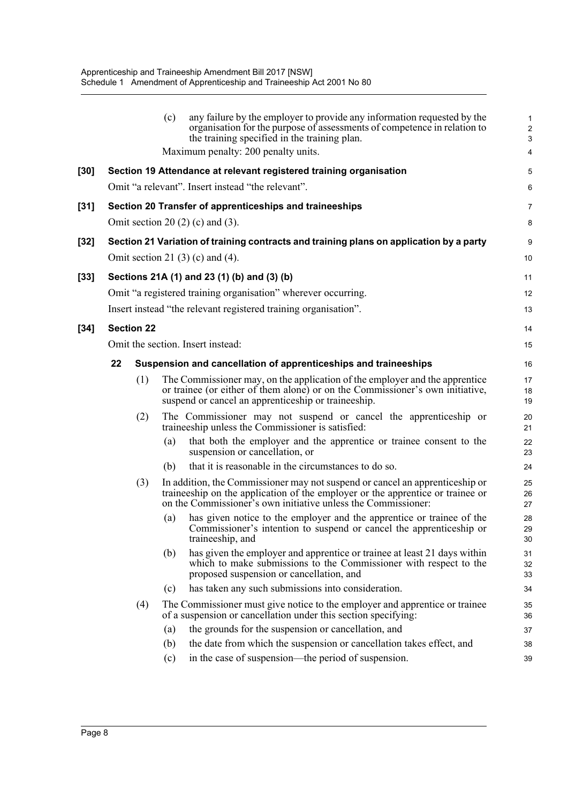|      |                   | (c)<br>any failure by the employer to provide any information requested by the<br>organisation for the purpose of assessments of competence in relation to<br>the training specified in the training plan.<br>Maximum penalty: 200 penalty units. | 1<br>$\overline{\mathbf{c}}$<br>3<br>4 |
|------|-------------------|---------------------------------------------------------------------------------------------------------------------------------------------------------------------------------------------------------------------------------------------------|----------------------------------------|
| [30] |                   | Section 19 Attendance at relevant registered training organisation                                                                                                                                                                                | 5                                      |
|      |                   | Omit "a relevant". Insert instead "the relevant".                                                                                                                                                                                                 | 6                                      |
| [31] |                   | Section 20 Transfer of apprenticeships and traineeships                                                                                                                                                                                           | 7                                      |
|      |                   | Omit section 20 $(2)$ (c) and $(3)$ .                                                                                                                                                                                                             | 8                                      |
| [32] |                   | Section 21 Variation of training contracts and training plans on application by a party                                                                                                                                                           | 9                                      |
|      |                   | Omit section 21 $(3)$ $(c)$ and $(4)$ .                                                                                                                                                                                                           | 10                                     |
| [33] |                   | Sections 21A (1) and 23 (1) (b) and (3) (b)                                                                                                                                                                                                       | 11                                     |
|      |                   | Omit "a registered training organisation" wherever occurring.                                                                                                                                                                                     | 12                                     |
|      |                   | Insert instead "the relevant registered training organisation".                                                                                                                                                                                   | 13                                     |
| [34] | <b>Section 22</b> |                                                                                                                                                                                                                                                   | 14                                     |
|      |                   | Omit the section. Insert instead:                                                                                                                                                                                                                 | 15                                     |
|      | 22                | Suspension and cancellation of apprenticeships and traineeships                                                                                                                                                                                   | 16                                     |
|      | (1)               | The Commissioner may, on the application of the employer and the apprentice<br>or trainee (or either of them alone) or on the Commissioner's own initiative,<br>suspend or cancel an apprenticeship or traineeship.                               | 17<br>18<br>19                         |
|      | (2)               | The Commissioner may not suspend or cancel the apprenticeship or<br>traineeship unless the Commissioner is satisfied:                                                                                                                             | 20<br>21                               |
|      |                   | that both the employer and the apprentice or trainee consent to the<br>(a)<br>suspension or cancellation, or                                                                                                                                      | 22<br>23                               |
|      |                   | that it is reasonable in the circumstances to do so.<br>(b)                                                                                                                                                                                       | 24                                     |
|      | (3)               | In addition, the Commissioner may not suspend or cancel an apprenticeship or<br>traineeship on the application of the employer or the apprentice or trainee or<br>on the Commissioner's own initiative unless the Commissioner:                   | 25<br>26<br>27                         |
|      |                   | has given notice to the employer and the apprentice or trainee of the<br>(a)<br>Commissioner's intention to suspend or cancel the apprenticeship or<br>traineeship, and                                                                           | 28<br>29<br>30                         |
|      |                   | has given the employer and apprentice or trainee at least 21 days within<br>(b)<br>which to make submissions to the Commissioner with respect to the<br>proposed suspension or cancellation, and                                                  | 31<br>32<br>33                         |
|      |                   | has taken any such submissions into consideration.<br>(c)                                                                                                                                                                                         | 34                                     |
|      | (4)               | The Commissioner must give notice to the employer and apprentice or trainee<br>of a suspension or cancellation under this section specifying:                                                                                                     | 35<br>36                               |
|      |                   | the grounds for the suspension or cancellation, and<br>(a)                                                                                                                                                                                        | 37                                     |
|      |                   | the date from which the suspension or cancellation takes effect, and<br>(b)                                                                                                                                                                       | 38                                     |
|      |                   | in the case of suspension—the period of suspension.<br>(c)                                                                                                                                                                                        | 39                                     |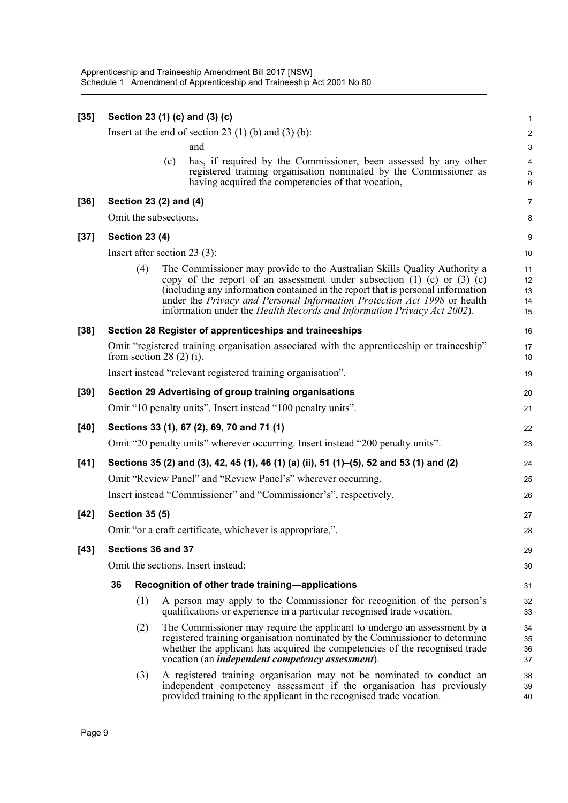| $[35]$ |                                    |                               |     | Section 23 (1) (c) and (3) (c)                                                                                                                                                                                                                                                                                                                                                                         | $\mathbf{1}$                                    |
|--------|------------------------------------|-------------------------------|-----|--------------------------------------------------------------------------------------------------------------------------------------------------------------------------------------------------------------------------------------------------------------------------------------------------------------------------------------------------------------------------------------------------------|-------------------------------------------------|
|        |                                    |                               |     | Insert at the end of section 23 $(1)$ (b) and $(3)$ (b):                                                                                                                                                                                                                                                                                                                                               | $\overline{\mathbf{c}}$                         |
|        |                                    |                               |     | and                                                                                                                                                                                                                                                                                                                                                                                                    | 3                                               |
|        |                                    |                               | (c) | has, if required by the Commissioner, been assessed by any other<br>registered training organisation nominated by the Commissioner as<br>having acquired the competencies of that vocation,                                                                                                                                                                                                            | $\overline{\mathbf{4}}$<br>$\mathbf 5$<br>$\,6$ |
| $[36]$ |                                    | Section 23 (2) and (4)        |     |                                                                                                                                                                                                                                                                                                                                                                                                        | 7                                               |
|        |                                    | Omit the subsections.         |     |                                                                                                                                                                                                                                                                                                                                                                                                        | 8                                               |
| $[37]$ |                                    | <b>Section 23 (4)</b>         |     |                                                                                                                                                                                                                                                                                                                                                                                                        | 9                                               |
|        |                                    |                               |     | Insert after section 23 $(3)$ :                                                                                                                                                                                                                                                                                                                                                                        | 10                                              |
|        |                                    | (4)                           |     | The Commissioner may provide to the Australian Skills Quality Authority a<br>copy of the report of an assessment under subsection $(1)$ $(c)$ or $(3)$ $(c)$<br>(including any information contained in the report that is personal information<br>under the Privacy and Personal Information Protection Act 1998 or health<br>information under the Health Records and Information Privacy Act 2002). | 11<br>12<br>13<br>14<br>15                      |
| $[38]$ |                                    |                               |     | Section 28 Register of apprenticeships and traineeships                                                                                                                                                                                                                                                                                                                                                | 16                                              |
|        |                                    | from section 28 $(2)$ $(i)$ . |     | Omit "registered training organisation associated with the apprenticeship or traineeship"                                                                                                                                                                                                                                                                                                              | 17<br>18                                        |
|        |                                    |                               |     | Insert instead "relevant registered training organisation".                                                                                                                                                                                                                                                                                                                                            | 19                                              |
| $[39]$ |                                    |                               |     | Section 29 Advertising of group training organisations                                                                                                                                                                                                                                                                                                                                                 | 20                                              |
|        |                                    |                               |     | Omit "10 penalty units". Insert instead "100 penalty units".                                                                                                                                                                                                                                                                                                                                           | 21                                              |
| [40]   |                                    |                               |     | Sections 33 (1), 67 (2), 69, 70 and 71 (1)                                                                                                                                                                                                                                                                                                                                                             | 22                                              |
|        |                                    |                               |     | Omit "20 penalty units" wherever occurring. Insert instead "200 penalty units".                                                                                                                                                                                                                                                                                                                        | 23                                              |
| $[41]$ |                                    |                               |     | Sections 35 (2) and (3), 42, 45 (1), 46 (1) (a) (ii), 51 (1)–(5), 52 and 53 (1) and (2)                                                                                                                                                                                                                                                                                                                | 24                                              |
|        |                                    |                               |     | Omit "Review Panel" and "Review Panel's" wherever occurring.                                                                                                                                                                                                                                                                                                                                           | 25                                              |
|        |                                    |                               |     | Insert instead "Commissioner" and "Commissioner's", respectively.                                                                                                                                                                                                                                                                                                                                      | 26                                              |
| $[42]$ |                                    | <b>Section 35 (5)</b>         |     |                                                                                                                                                                                                                                                                                                                                                                                                        | 27                                              |
|        |                                    |                               |     | Omit "or a craft certificate, whichever is appropriate,".                                                                                                                                                                                                                                                                                                                                              | 28                                              |
| $[43]$ | Sections 36 and 37                 |                               |     |                                                                                                                                                                                                                                                                                                                                                                                                        |                                                 |
|        | Omit the sections. Insert instead: |                               |     |                                                                                                                                                                                                                                                                                                                                                                                                        |                                                 |
|        | 36                                 |                               |     | Recognition of other trade training-applications                                                                                                                                                                                                                                                                                                                                                       | 31                                              |
|        |                                    | (1)                           |     | A person may apply to the Commissioner for recognition of the person's<br>qualifications or experience in a particular recognised trade vocation.                                                                                                                                                                                                                                                      | 32<br>33                                        |
|        |                                    | (2)                           |     | The Commissioner may require the applicant to undergo an assessment by a<br>registered training organisation nominated by the Commissioner to determine<br>whether the applicant has acquired the competencies of the recognised trade<br>vocation (an <i>independent competency assessment</i> ).                                                                                                     | 34<br>35<br>36<br>37                            |
|        |                                    | (3)                           |     | A registered training organisation may not be nominated to conduct an<br>independent competency assessment if the organisation has previously<br>provided training to the applicant in the recognised trade vocation.                                                                                                                                                                                  | 38<br>39<br>40                                  |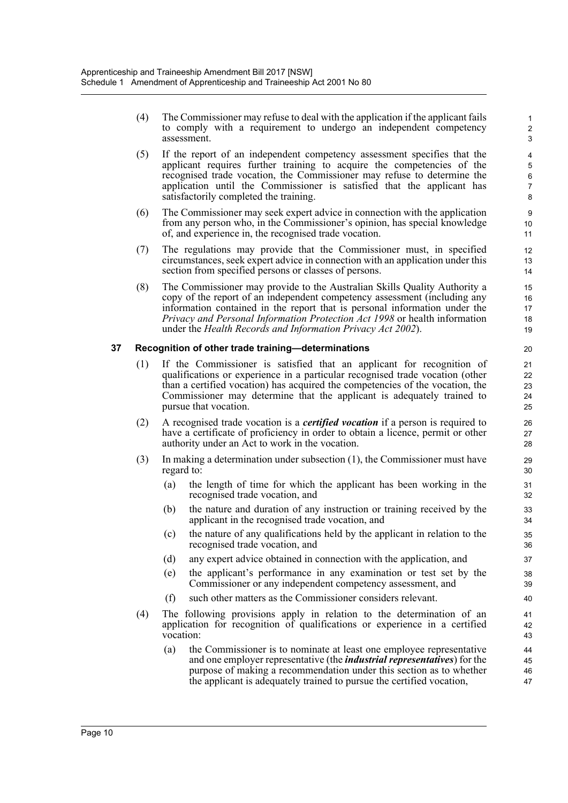(4) The Commissioner may refuse to deal with the application if the applicant fails to comply with a requirement to undergo an independent competency assessment.

- (5) If the report of an independent competency assessment specifies that the applicant requires further training to acquire the competencies of the recognised trade vocation, the Commissioner may refuse to determine the application until the Commissioner is satisfied that the applicant has satisfactorily completed the training.
- (6) The Commissioner may seek expert advice in connection with the application from any person who, in the Commissioner's opinion, has special knowledge of, and experience in, the recognised trade vocation.
- (7) The regulations may provide that the Commissioner must, in specified circumstances, seek expert advice in connection with an application under this section from specified persons or classes of persons.
- (8) The Commissioner may provide to the Australian Skills Quality Authority a copy of the report of an independent competency assessment (including any information contained in the report that is personal information under the *Privacy and Personal Information Protection Act 1998* or health information under the *Health Records and Information Privacy Act 2002*).

### **37 Recognition of other trade training—determinations**

- (1) If the Commissioner is satisfied that an applicant for recognition of qualifications or experience in a particular recognised trade vocation (other than a certified vocation) has acquired the competencies of the vocation, the Commissioner may determine that the applicant is adequately trained to pursue that vocation.
- (2) A recognised trade vocation is a *certified vocation* if a person is required to have a certificate of proficiency in order to obtain a licence, permit or other authority under an Act to work in the vocation.
- (3) In making a determination under subsection (1), the Commissioner must have regard to:
	- (a) the length of time for which the applicant has been working in the recognised trade vocation, and
	- (b) the nature and duration of any instruction or training received by the applicant in the recognised trade vocation, and
	- (c) the nature of any qualifications held by the applicant in relation to the recognised trade vocation, and
	- (d) any expert advice obtained in connection with the application, and
	- (e) the applicant's performance in any examination or test set by the Commissioner or any independent competency assessment, and
	- (f) such other matters as the Commissioner considers relevant.
- (4) The following provisions apply in relation to the determination of an application for recognition of qualifications or experience in a certified vocation:
	- (a) the Commissioner is to nominate at least one employee representative and one employer representative (the *industrial representatives*) for the purpose of making a recommendation under this section as to whether the applicant is adequately trained to pursue the certified vocation,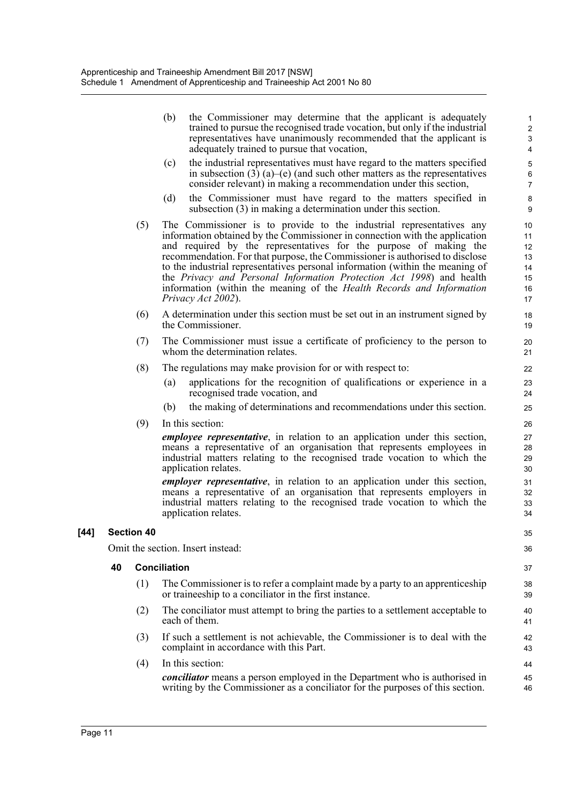(b) the Commissioner may determine that the applicant is adequately trained to pursue the recognised trade vocation, but only if the industrial representatives have unanimously recommended that the applicant is adequately trained to pursue that vocation,

- (c) the industrial representatives must have regard to the matters specified in subsection  $(3)$   $(a)$ – $(e)$  (and such other matters as the representatives consider relevant) in making a recommendation under this section,
- (d) the Commissioner must have regard to the matters specified in subsection (3) in making a determination under this section.
- (5) The Commissioner is to provide to the industrial representatives any information obtained by the Commissioner in connection with the application and required by the representatives for the purpose of making the recommendation. For that purpose, the Commissioner is authorised to disclose to the industrial representatives personal information (within the meaning of the *Privacy and Personal Information Protection Act 1998*) and health information (within the meaning of the *Health Records and Information Privacy Act 2002*).
- (6) A determination under this section must be set out in an instrument signed by the Commissioner.
- (7) The Commissioner must issue a certificate of proficiency to the person to whom the determination relates.
- (8) The regulations may make provision for or with respect to:
	- (a) applications for the recognition of qualifications or experience in a recognised trade vocation, and
	- (b) the making of determinations and recommendations under this section.
- (9) In this section:

*employee representative*, in relation to an application under this section, means a representative of an organisation that represents employees in industrial matters relating to the recognised trade vocation to which the application relates.

*employer representative*, in relation to an application under this section, means a representative of an organisation that represents employers in industrial matters relating to the recognised trade vocation to which the application relates.

### **[44] Section 40**

Omit the section. Insert instead:

#### **40 Conciliation**

- (1) The Commissioner is to refer a complaint made by a party to an apprenticeship or traineeship to a conciliator in the first instance.
- (2) The conciliator must attempt to bring the parties to a settlement acceptable to each of them.
- (3) If such a settlement is not achievable, the Commissioner is to deal with the complaint in accordance with this Part.
- (4) In this section:

*conciliator* means a person employed in the Department who is authorised in writing by the Commissioner as a conciliator for the purposes of this section.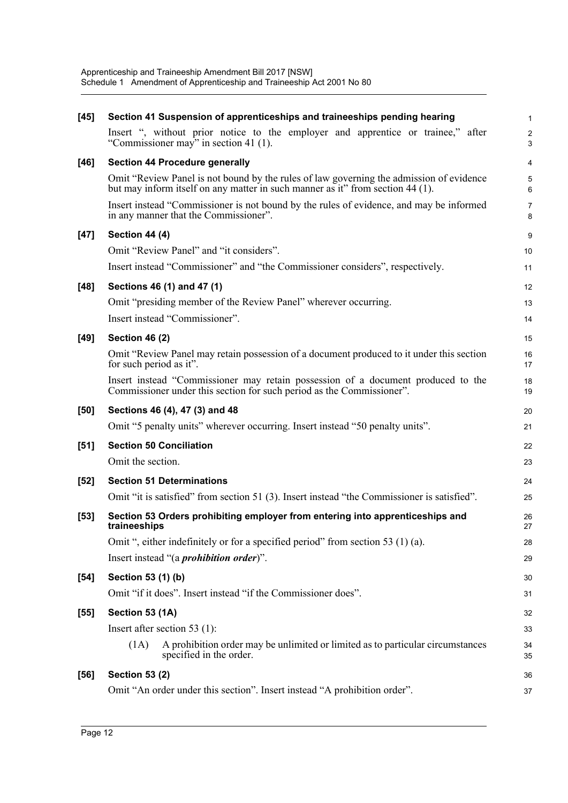| $[45]$ | Section 41 Suspension of apprenticeships and traineeships pending hearing                                                                                                 | 1                            |
|--------|---------------------------------------------------------------------------------------------------------------------------------------------------------------------------|------------------------------|
|        | Insert ", without prior notice to the employer and apprentice or trainee," after<br>"Commissioner may" in section 41 (1).                                                 | $\overline{\mathbf{c}}$<br>3 |
| $[46]$ | <b>Section 44 Procedure generally</b>                                                                                                                                     | 4                            |
|        | Omit "Review Panel is not bound by the rules of law governing the admission of evidence<br>but may inform itself on any matter in such manner as it" from section 44 (1). | 5<br>6                       |
|        | Insert instead "Commissioner is not bound by the rules of evidence, and may be informed<br>in any manner that the Commissioner".                                          | 7<br>8                       |
| $[47]$ | Section 44 (4)                                                                                                                                                            | 9                            |
|        | Omit "Review Panel" and "it considers".                                                                                                                                   | 10                           |
|        | Insert instead "Commissioner" and "the Commissioner considers", respectively.                                                                                             | 11                           |
| $[48]$ | Sections 46 (1) and 47 (1)                                                                                                                                                | 12                           |
|        | Omit "presiding member of the Review Panel" wherever occurring.                                                                                                           | 13                           |
|        | Insert instead "Commissioner".                                                                                                                                            | 14                           |
| $[49]$ | <b>Section 46 (2)</b>                                                                                                                                                     | 15                           |
|        | Omit "Review Panel may retain possession of a document produced to it under this section<br>for such period as it".                                                       | 16<br>17                     |
|        | Insert instead "Commissioner may retain possession of a document produced to the<br>Commissioner under this section for such period as the Commissioner".                 | 18<br>19                     |
| [50]   | Sections 46 (4), 47 (3) and 48                                                                                                                                            | 20                           |
|        | Omit "5 penalty units" wherever occurring. Insert instead "50 penalty units".                                                                                             | 21                           |
| $[51]$ | <b>Section 50 Conciliation</b>                                                                                                                                            | 22                           |
|        | Omit the section.                                                                                                                                                         | 23                           |
| $[52]$ | <b>Section 51 Determinations</b>                                                                                                                                          | 24                           |
|        | Omit "it is satisfied" from section 51 (3). Insert instead "the Commissioner is satisfied".                                                                               | 25                           |
| $[53]$ | Section 53 Orders prohibiting employer from entering into apprenticeships and<br>traineeships                                                                             | 26<br>27                     |
|        | Omit ", either indefinitely or for a specified period" from section 53 (1) (a).                                                                                           | 28                           |
|        | Insert instead "(a <i>prohibition order</i> )".                                                                                                                           | 29                           |
| $[54]$ | Section 53 (1) (b)                                                                                                                                                        | 30                           |
|        | Omit "if it does". Insert instead "if the Commissioner does".                                                                                                             | 31                           |
| $[55]$ | Section 53 (1A)                                                                                                                                                           | 32                           |
|        | Insert after section 53 $(1)$ :                                                                                                                                           | 33                           |
|        | A prohibition order may be unlimited or limited as to particular circumstances<br>(1A)<br>specified in the order.                                                         | 34<br>35                     |
| $[56]$ | <b>Section 53 (2)</b>                                                                                                                                                     | 36                           |
|        | Omit "An order under this section". Insert instead "A prohibition order".                                                                                                 | 37                           |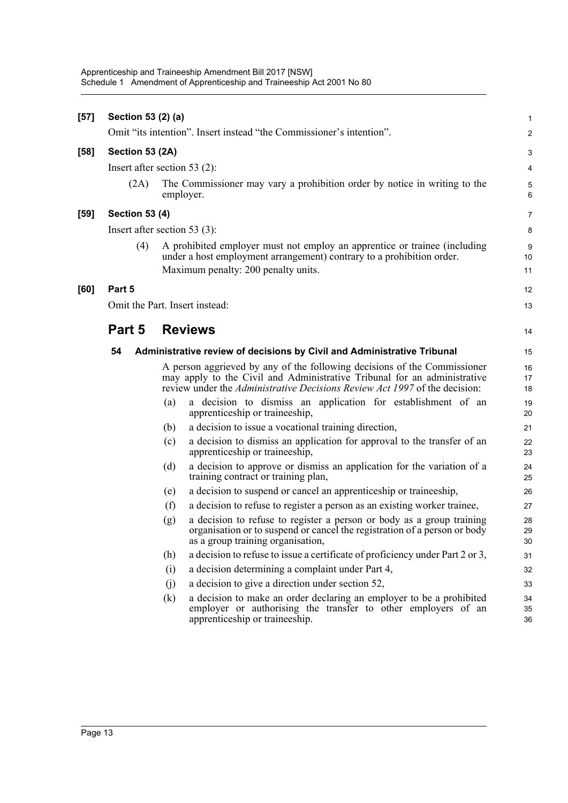| $[57]$ | Section 53 (2) (a)    |                                                                                                                                                                                                                                    | 1              |
|--------|-----------------------|------------------------------------------------------------------------------------------------------------------------------------------------------------------------------------------------------------------------------------|----------------|
|        |                       | Omit "its intention". Insert instead "the Commissioner's intention".                                                                                                                                                               | $\overline{c}$ |
| $[58]$ | Section 53 (2A)       |                                                                                                                                                                                                                                    | 3              |
|        |                       | Insert after section 53 $(2)$ :                                                                                                                                                                                                    | 4              |
|        | (2A)                  | The Commissioner may vary a prohibition order by notice in writing to the<br>employer.                                                                                                                                             | 5<br>6         |
| $[59]$ | <b>Section 53 (4)</b> |                                                                                                                                                                                                                                    | $\overline{7}$ |
|        |                       | Insert after section 53 $(3)$ :                                                                                                                                                                                                    | 8              |
|        | (4)                   | A prohibited employer must not employ an apprentice or trainee (including<br>under a host employment arrangement) contrary to a prohibition order.<br>Maximum penalty: 200 penalty units.                                          | 9<br>10<br>11  |
| [60]   | Part 5                |                                                                                                                                                                                                                                    | 12             |
|        |                       | Omit the Part. Insert instead:                                                                                                                                                                                                     | 13             |
|        |                       |                                                                                                                                                                                                                                    |                |
|        | Part 5                | <b>Reviews</b>                                                                                                                                                                                                                     | 14             |
|        | 54                    | Administrative review of decisions by Civil and Administrative Tribunal                                                                                                                                                            | 15             |
|        |                       | A person aggrieved by any of the following decisions of the Commissioner<br>may apply to the Civil and Administrative Tribunal for an administrative<br>review under the Administrative Decisions Review Act 1997 of the decision: | 16<br>17<br>18 |
|        |                       | a decision to dismiss an application for establishment of an<br>(a)<br>apprenticeship or traineeship,                                                                                                                              | 19<br>20       |
|        |                       | a decision to issue a vocational training direction,<br>(b)                                                                                                                                                                        | 21             |
|        |                       | a decision to dismiss an application for approval to the transfer of an<br>(c)<br>apprenticeship or traineeship,                                                                                                                   | 22<br>23       |
|        |                       | a decision to approve or dismiss an application for the variation of a<br>(d)<br>training contract or training plan,                                                                                                               | 24<br>25       |
|        |                       | a decision to suspend or cancel an apprentice ship or trainee ship,<br>(e)                                                                                                                                                         | 26             |
|        |                       | a decision to refuse to register a person as an existing worker trainee,<br>(f)                                                                                                                                                    | 27             |
|        |                       | a decision to refuse to register a person or body as a group training<br>(g)<br>organisation or to suspend or cancel the registration of a person or body<br>as a group training organisation,                                     | 28<br>29<br>30 |
|        |                       | a decision to refuse to issue a certificate of proficiency under Part 2 or 3,<br>(h)                                                                                                                                               | 31             |
|        |                       | a decision determining a complaint under Part 4,<br>(i)                                                                                                                                                                            | 32             |
|        |                       | a decision to give a direction under section 52,<br>(j)                                                                                                                                                                            | 33             |
|        |                       | a decision to make an order declaring an employer to be a prohibited<br>(k)<br>employer or authorising the transfer to other employers of an<br>apprenticeship or traineeship.                                                     | 34<br>35<br>36 |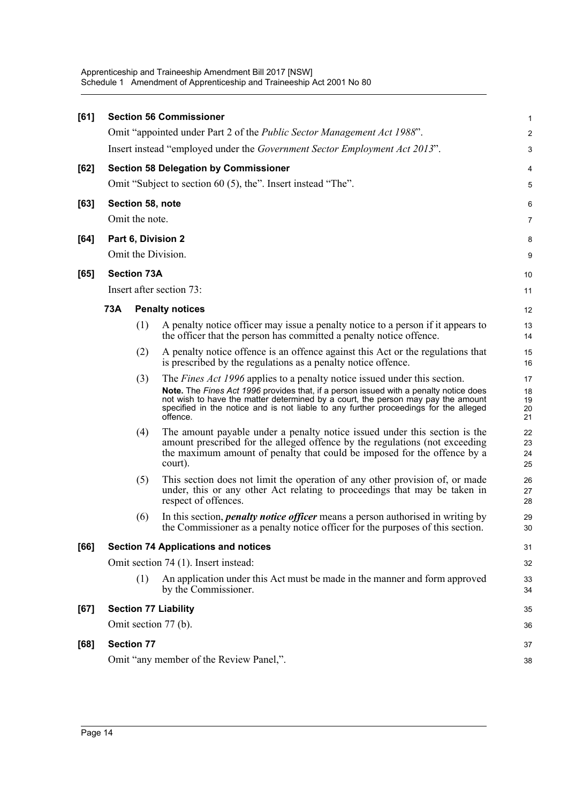| [61] |                                         |                    | <b>Section 56 Commissioner</b>                                                                                                                                                                                                                                                                                                                                    | $\mathbf{1}$               |  |  |
|------|-----------------------------------------|--------------------|-------------------------------------------------------------------------------------------------------------------------------------------------------------------------------------------------------------------------------------------------------------------------------------------------------------------------------------------------------------------|----------------------------|--|--|
|      |                                         |                    | Omit "appointed under Part 2 of the <i>Public Sector Management Act 1988"</i> .                                                                                                                                                                                                                                                                                   | 2                          |  |  |
|      |                                         |                    | Insert instead "employed under the Government Sector Employment Act 2013".                                                                                                                                                                                                                                                                                        | 3                          |  |  |
| [62] |                                         |                    | <b>Section 58 Delegation by Commissioner</b>                                                                                                                                                                                                                                                                                                                      | 4                          |  |  |
|      |                                         |                    | Omit "Subject to section 60 (5), the". Insert instead "The".                                                                                                                                                                                                                                                                                                      | 5                          |  |  |
| [63] |                                         |                    | Section 58, note                                                                                                                                                                                                                                                                                                                                                  | 6                          |  |  |
|      |                                         | Omit the note.     |                                                                                                                                                                                                                                                                                                                                                                   | 7                          |  |  |
| [64] |                                         |                    | Part 6, Division 2                                                                                                                                                                                                                                                                                                                                                | 8                          |  |  |
|      |                                         |                    | Omit the Division.                                                                                                                                                                                                                                                                                                                                                | 9                          |  |  |
| [65] |                                         | <b>Section 73A</b> |                                                                                                                                                                                                                                                                                                                                                                   | 10                         |  |  |
|      |                                         |                    | Insert after section 73:                                                                                                                                                                                                                                                                                                                                          | 11                         |  |  |
|      | 73A                                     |                    | <b>Penalty notices</b>                                                                                                                                                                                                                                                                                                                                            | 12                         |  |  |
|      |                                         | (1)                | A penalty notice officer may issue a penalty notice to a person if it appears to<br>the officer that the person has committed a penalty notice offence.                                                                                                                                                                                                           | 13<br>14                   |  |  |
|      |                                         | (2)                | A penalty notice offence is an offence against this Act or the regulations that<br>is prescribed by the regulations as a penalty notice offence.                                                                                                                                                                                                                  | 15<br>16                   |  |  |
|      |                                         | (3)                | The <i>Fines Act 1996</i> applies to a penalty notice issued under this section.<br>Note. The Fines Act 1996 provides that, if a person issued with a penalty notice does<br>not wish to have the matter determined by a court, the person may pay the amount<br>specified in the notice and is not liable to any further proceedings for the alleged<br>offence. | 17<br>18<br>19<br>20<br>21 |  |  |
|      |                                         | (4)                | The amount payable under a penalty notice issued under this section is the<br>amount prescribed for the alleged offence by the regulations (not exceeding<br>the maximum amount of penalty that could be imposed for the offence by a<br>court).                                                                                                                  | 22<br>23<br>24<br>25       |  |  |
|      |                                         | (5)                | This section does not limit the operation of any other provision of, or made<br>under, this or any other Act relating to proceedings that may be taken in<br>respect of offences.                                                                                                                                                                                 | 26<br>27<br>28             |  |  |
|      |                                         | (6)                | In this section, <i>penalty notice officer</i> means a person authorised in writing by<br>the Commissioner as a penalty notice officer for the purposes of this section.                                                                                                                                                                                          | 29<br>30                   |  |  |
| [66] |                                         |                    | <b>Section 74 Applications and notices</b>                                                                                                                                                                                                                                                                                                                        | 31                         |  |  |
|      |                                         |                    | Omit section 74 (1). Insert instead:                                                                                                                                                                                                                                                                                                                              | 32                         |  |  |
|      |                                         | (1)                | An application under this Act must be made in the manner and form approved<br>by the Commissioner.                                                                                                                                                                                                                                                                | 33<br>34                   |  |  |
| [67] |                                         |                    | <b>Section 77 Liability</b>                                                                                                                                                                                                                                                                                                                                       | 35                         |  |  |
|      |                                         |                    | Omit section 77 (b).                                                                                                                                                                                                                                                                                                                                              | 36                         |  |  |
| [68] |                                         | <b>Section 77</b>  |                                                                                                                                                                                                                                                                                                                                                                   | 37                         |  |  |
|      | Omit "any member of the Review Panel,". |                    |                                                                                                                                                                                                                                                                                                                                                                   |                            |  |  |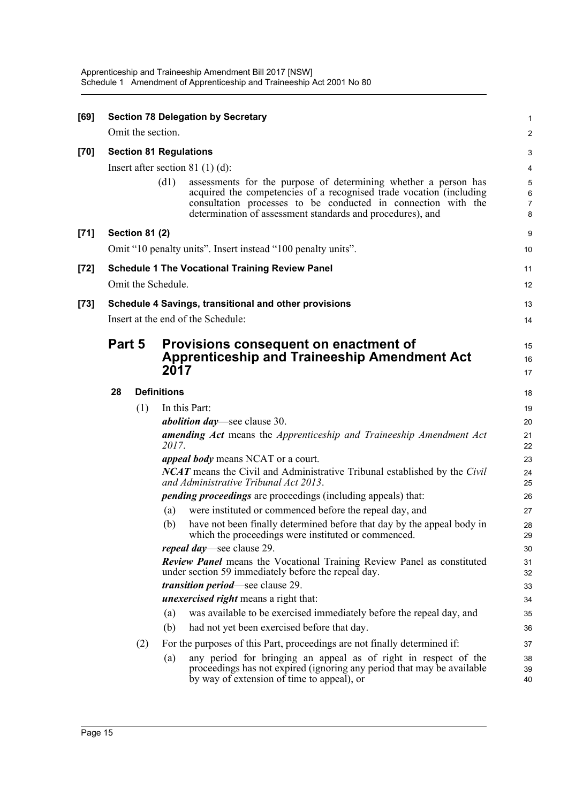| [69]   |                                                       |                       |                    | <b>Section 78 Delegation by Secretary</b>                                                                                                                                                                                                                             | 1                             |
|--------|-------------------------------------------------------|-----------------------|--------------------|-----------------------------------------------------------------------------------------------------------------------------------------------------------------------------------------------------------------------------------------------------------------------|-------------------------------|
|        |                                                       |                       | Omit the section.  |                                                                                                                                                                                                                                                                       | 2                             |
| $[70]$ |                                                       |                       |                    | <b>Section 81 Regulations</b>                                                                                                                                                                                                                                         | 3                             |
|        |                                                       |                       |                    | Insert after section $81$ (1) (d):                                                                                                                                                                                                                                    | 4                             |
|        |                                                       |                       | (d1)               | assessments for the purpose of determining whether a person has<br>acquired the competencies of a recognised trade vocation (including<br>consultation processes to be conducted in connection with the<br>determination of assessment standards and procedures), and | 5<br>6<br>$\overline{7}$<br>8 |
| $[71]$ |                                                       | <b>Section 81 (2)</b> |                    |                                                                                                                                                                                                                                                                       | 9                             |
|        |                                                       |                       |                    | Omit "10 penalty units". Insert instead "100 penalty units".                                                                                                                                                                                                          | 10                            |
| $[72]$ |                                                       |                       |                    | <b>Schedule 1 The Vocational Training Review Panel</b>                                                                                                                                                                                                                | 11                            |
|        | Omit the Schedule.                                    |                       |                    |                                                                                                                                                                                                                                                                       |                               |
| $[73]$ | Schedule 4 Savings, transitional and other provisions |                       |                    |                                                                                                                                                                                                                                                                       |                               |
|        |                                                       |                       |                    | Insert at the end of the Schedule:                                                                                                                                                                                                                                    | 14                            |
|        | Part 5                                                |                       |                    | Provisions consequent on enactment of                                                                                                                                                                                                                                 | 15                            |
|        |                                                       |                       | 2017               | <b>Apprenticeship and Traineeship Amendment Act</b>                                                                                                                                                                                                                   | 16                            |
|        |                                                       |                       |                    |                                                                                                                                                                                                                                                                       | 17                            |
|        | 28                                                    |                       | <b>Definitions</b> |                                                                                                                                                                                                                                                                       | 18                            |
|        |                                                       | (1)                   |                    | In this Part:                                                                                                                                                                                                                                                         | 19                            |
|        |                                                       |                       |                    | <i>abolition day</i> —see clause 30.                                                                                                                                                                                                                                  | 20                            |
|        |                                                       |                       | 2017.              | <b>amending Act</b> means the Apprenticeship and Traineeship Amendment Act                                                                                                                                                                                            | 21<br>22                      |
|        |                                                       |                       |                    | <i>appeal body</i> means NCAT or a court.                                                                                                                                                                                                                             | 23                            |
|        |                                                       |                       |                    | <b>NCAT</b> means the Civil and Administrative Tribunal established by the Civil<br>and Administrative Tribunal Act 2013.                                                                                                                                             | 24<br>25                      |
|        |                                                       |                       |                    | <i>pending proceedings</i> are proceedings (including appeals) that:                                                                                                                                                                                                  | 26                            |
|        |                                                       |                       | (a)                | were instituted or commenced before the repeal day, and                                                                                                                                                                                                               | 27                            |
|        |                                                       |                       | (b)                | have not been finally determined before that day by the appeal body in<br>which the proceedings were instituted or commenced.                                                                                                                                         | 28<br>29                      |
|        |                                                       |                       |                    | <i>repeal day</i> —see clause 29.                                                                                                                                                                                                                                     | 30                            |
|        |                                                       |                       |                    | <b>Review Panel means the Vocational Training Review Panel as constituted</b><br>under section 59 immediately before the repeal day.                                                                                                                                  | 31<br>32                      |
|        |                                                       |                       |                    | <i>transition period</i> —see clause 29.                                                                                                                                                                                                                              | 33                            |
|        |                                                       |                       |                    | <i>unexercised right</i> means a right that:                                                                                                                                                                                                                          | 34                            |
|        |                                                       |                       | (a)                | was available to be exercised immediately before the repeal day, and                                                                                                                                                                                                  | 35                            |
|        |                                                       |                       | (b)                | had not yet been exercised before that day.                                                                                                                                                                                                                           | 36                            |
|        |                                                       | (2)                   |                    | For the purposes of this Part, proceedings are not finally determined if:                                                                                                                                                                                             | 37                            |
|        |                                                       |                       | (a)                | any period for bringing an appeal as of right in respect of the<br>proceedings has not expired (ignoring any period that may be available<br>by way of extension of time to appeal), or                                                                               | 38<br>39<br>40                |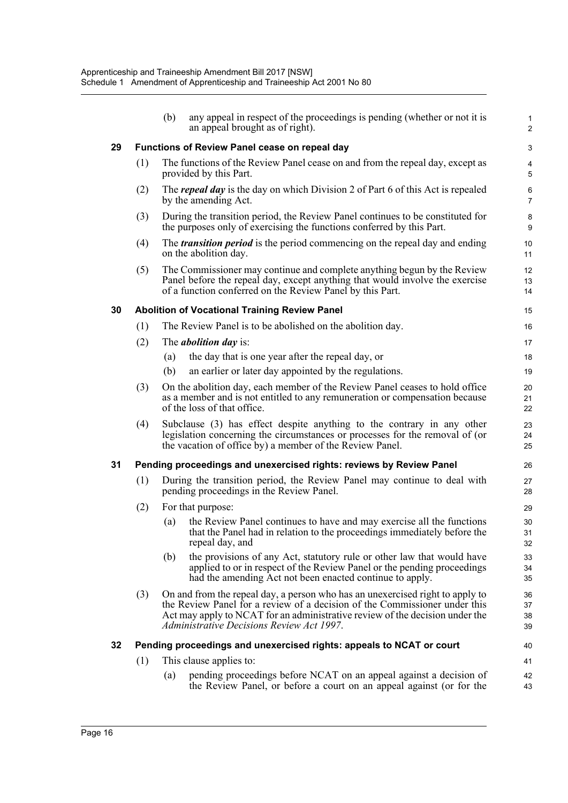|    |                                               | (b)                                                                                                                                                                                                                                                                                      | any appeal in respect of the proceedings is pending (whether or not it is<br>an appeal brought as of right).                                                                                                         | 1<br>$\overline{2}$  |  |
|----|-----------------------------------------------|------------------------------------------------------------------------------------------------------------------------------------------------------------------------------------------------------------------------------------------------------------------------------------------|----------------------------------------------------------------------------------------------------------------------------------------------------------------------------------------------------------------------|----------------------|--|
| 29 | Functions of Review Panel cease on repeal day |                                                                                                                                                                                                                                                                                          |                                                                                                                                                                                                                      |                      |  |
|    | (1)                                           | The functions of the Review Panel cease on and from the repeal day, except as<br>provided by this Part.                                                                                                                                                                                  |                                                                                                                                                                                                                      |                      |  |
|    | (2)                                           | The <i>repeal day</i> is the day on which Division 2 of Part 6 of this Act is repealed<br>by the amending Act.                                                                                                                                                                           |                                                                                                                                                                                                                      |                      |  |
|    | (3)                                           | During the transition period, the Review Panel continues to be constituted for<br>the purposes only of exercising the functions conferred by this Part.                                                                                                                                  |                                                                                                                                                                                                                      |                      |  |
|    | (4)                                           | The <i>transition period</i> is the period commencing on the repeal day and ending<br>on the abolition day.                                                                                                                                                                              |                                                                                                                                                                                                                      |                      |  |
|    | (5)                                           |                                                                                                                                                                                                                                                                                          | The Commissioner may continue and complete anything begun by the Review<br>Panel before the repeal day, except anything that would involve the exercise<br>of a function conferred on the Review Panel by this Part. | 12<br>13<br>14       |  |
| 30 |                                               |                                                                                                                                                                                                                                                                                          | <b>Abolition of Vocational Training Review Panel</b>                                                                                                                                                                 | 15                   |  |
|    | (1)                                           |                                                                                                                                                                                                                                                                                          | The Review Panel is to be abolished on the abolition day.                                                                                                                                                            | 16                   |  |
|    | (2)                                           |                                                                                                                                                                                                                                                                                          | The <i>abolition day</i> is:                                                                                                                                                                                         | 17                   |  |
|    |                                               | (a)                                                                                                                                                                                                                                                                                      | the day that is one year after the repeal day, or                                                                                                                                                                    | 18                   |  |
|    |                                               | (b)                                                                                                                                                                                                                                                                                      | an earlier or later day appointed by the regulations.                                                                                                                                                                | 19                   |  |
|    | (3)                                           |                                                                                                                                                                                                                                                                                          | On the abolition day, each member of the Review Panel ceases to hold office<br>as a member and is not entitled to any remuneration or compensation because<br>of the loss of that office.                            | 20<br>21<br>22       |  |
|    | (4)                                           |                                                                                                                                                                                                                                                                                          | Subclause (3) has effect despite anything to the contrary in any other<br>legislation concerning the circumstances or processes for the removal of (or<br>the vacation of office by) a member of the Review Panel.   | 23<br>24<br>25       |  |
| 31 |                                               |                                                                                                                                                                                                                                                                                          | Pending proceedings and unexercised rights: reviews by Review Panel                                                                                                                                                  | 26                   |  |
|    | (1)                                           | During the transition period, the Review Panel may continue to deal with<br>pending proceedings in the Review Panel.                                                                                                                                                                     |                                                                                                                                                                                                                      | 27<br>28             |  |
|    | (2)                                           | For that purpose:                                                                                                                                                                                                                                                                        |                                                                                                                                                                                                                      |                      |  |
|    |                                               | (a)                                                                                                                                                                                                                                                                                      | the Review Panel continues to have and may exercise all the functions<br>that the Panel had in relation to the proceedings immediately before the<br>repeal day, and                                                 | 30<br>31<br>32       |  |
|    |                                               | (b)                                                                                                                                                                                                                                                                                      | the provisions of any Act, statutory rule or other law that would have<br>applied to or in respect of the Review Panel or the pending proceedings<br>had the amending Act not been enacted continue to apply.        | 33<br>34<br>35       |  |
|    | (3)                                           | On and from the repeal day, a person who has an unexercised right to apply to<br>the Review Panel for a review of a decision of the Commissioner under this<br>Act may apply to NCAT for an administrative review of the decision under the<br>Administrative Decisions Review Act 1997. |                                                                                                                                                                                                                      | 36<br>37<br>38<br>39 |  |
| 32 |                                               |                                                                                                                                                                                                                                                                                          | Pending proceedings and unexercised rights: appeals to NCAT or court                                                                                                                                                 | 40                   |  |
|    | (1)                                           |                                                                                                                                                                                                                                                                                          | This clause applies to:                                                                                                                                                                                              | 41                   |  |
|    |                                               | (a)                                                                                                                                                                                                                                                                                      | pending proceedings before NCAT on an appeal against a decision of<br>the Review Panel, or before a court on an appeal against (or for the                                                                           | 42<br>43             |  |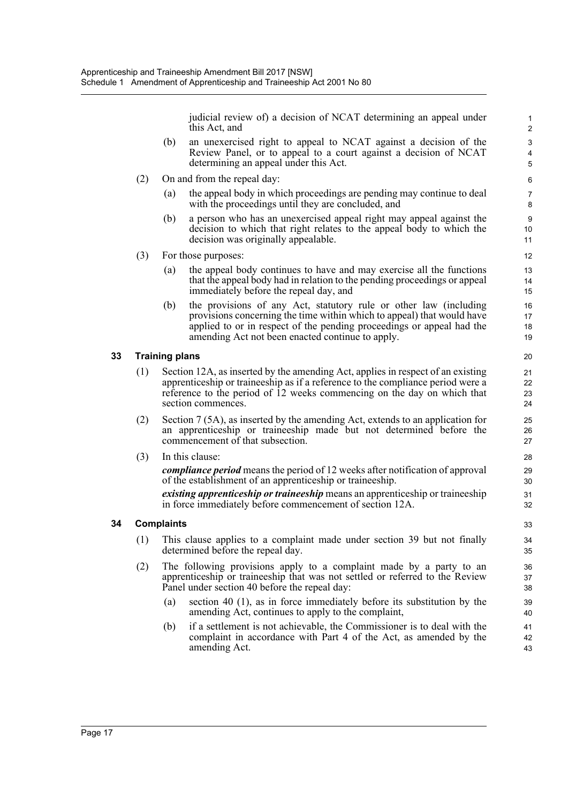judicial review of) a decision of NCAT determining an appeal under this Act, and

- (b) an unexercised right to appeal to NCAT against a decision of the Review Panel, or to appeal to a court against a decision of NCAT determining an appeal under this Act.
- (2) On and from the repeal day:
	- (a) the appeal body in which proceedings are pending may continue to deal with the proceedings until they are concluded, and
	- (b) a person who has an unexercised appeal right may appeal against the decision to which that right relates to the appeal body to which the decision was originally appealable.
- (3) For those purposes:
	- (a) the appeal body continues to have and may exercise all the functions that the appeal body had in relation to the pending proceedings or appeal immediately before the repeal day, and
	- (b) the provisions of any Act, statutory rule or other law (including provisions concerning the time within which to appeal) that would have applied to or in respect of the pending proceedings or appeal had the amending Act not been enacted continue to apply.

### **33 Training plans**

- (1) Section 12A, as inserted by the amending Act, applies in respect of an existing apprenticeship or traineeship as if a reference to the compliance period were a reference to the period of 12 weeks commencing on the day on which that section commences.
- (2) Section 7 (5A), as inserted by the amending Act, extends to an application for an apprenticeship or traineeship made but not determined before the commencement of that subsection.
- (3) In this clause:

*compliance period* means the period of 12 weeks after notification of approval of the establishment of an apprenticeship or traineeship.

*existing apprenticeship or traineeship* means an apprenticeship or traineeship in force immediately before commencement of section 12A.

### **34 Complaints**

- (1) This clause applies to a complaint made under section 39 but not finally determined before the repeal day.
- (2) The following provisions apply to a complaint made by a party to an apprenticeship or traineeship that was not settled or referred to the Review Panel under section 40 before the repeal day:
	- (a) section 40 (1), as in force immediately before its substitution by the amending Act, continues to apply to the complaint,
	- (b) if a settlement is not achievable, the Commissioner is to deal with the complaint in accordance with Part 4 of the Act, as amended by the amending Act.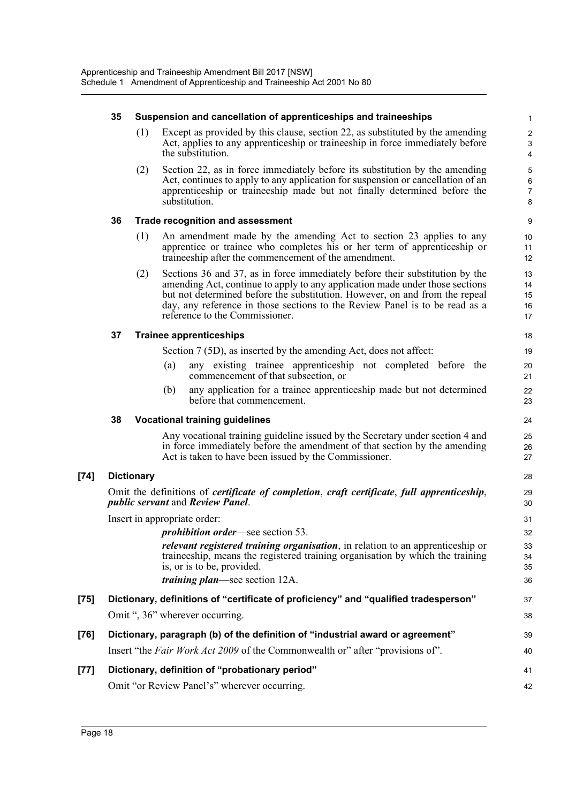|        | 35                                                                                                                                                            |                                | Suspension and cancellation of apprenticeships and traineeships                                                                                                                                                                                                                                                                                              | $\mathbf{1}$                        |
|--------|---------------------------------------------------------------------------------------------------------------------------------------------------------------|--------------------------------|--------------------------------------------------------------------------------------------------------------------------------------------------------------------------------------------------------------------------------------------------------------------------------------------------------------------------------------------------------------|-------------------------------------|
|        |                                                                                                                                                               | (1)                            | Except as provided by this clause, section 22, as substituted by the amending<br>Act, applies to any apprenticeship or traineeship in force immediately before<br>the substitution.                                                                                                                                                                          | $\boldsymbol{2}$<br>3<br>4          |
|        |                                                                                                                                                               | (2)                            | Section 22, as in force immediately before its substitution by the amending<br>Act, continues to apply to any application for suspension or cancellation of an<br>apprenticeship or traineeship made but not finally determined before the<br>substitution.                                                                                                  | 5<br>$\,6\,$<br>$\overline{7}$<br>8 |
|        | 36                                                                                                                                                            |                                | <b>Trade recognition and assessment</b>                                                                                                                                                                                                                                                                                                                      | 9                                   |
|        |                                                                                                                                                               | (1)                            | An amendment made by the amending Act to section 23 applies to any<br>apprentice or trainee who completes his or her term of apprenticeship or<br>traineeship after the commencement of the amendment.                                                                                                                                                       | 10<br>11<br>12                      |
|        |                                                                                                                                                               | (2)                            | Sections 36 and 37, as in force immediately before their substitution by the<br>amending Act, continue to apply to any application made under those sections<br>but not determined before the substitution. However, on and from the repeal<br>day, any reference in those sections to the Review Panel is to be read as a<br>reference to the Commissioner. | 13<br>14<br>15<br>16<br>17          |
|        | 37                                                                                                                                                            | <b>Trainee apprenticeships</b> |                                                                                                                                                                                                                                                                                                                                                              | 18                                  |
|        |                                                                                                                                                               |                                | Section 7 (5D), as inserted by the amending Act, does not affect:                                                                                                                                                                                                                                                                                            | 19                                  |
|        |                                                                                                                                                               |                                | any existing trainee apprenticeship not completed before the<br>(a)<br>commencement of that subsection, or                                                                                                                                                                                                                                                   | 20<br>21                            |
|        |                                                                                                                                                               |                                | any application for a trainee apprenticeship made but not determined<br>(b)<br>before that commencement.                                                                                                                                                                                                                                                     | 22<br>23                            |
|        | 38                                                                                                                                                            |                                | <b>Vocational training guidelines</b>                                                                                                                                                                                                                                                                                                                        | 24                                  |
|        |                                                                                                                                                               |                                | Any vocational training guideline issued by the Secretary under section 4 and<br>in force immediately before the amendment of that section by the amending<br>Act is taken to have been issued by the Commissioner.                                                                                                                                          | 25<br>26<br>27                      |
| $[74]$ |                                                                                                                                                               | <b>Dictionary</b>              |                                                                                                                                                                                                                                                                                                                                                              | 28                                  |
|        | Omit the definitions of <i>certificate of completion</i> , <i>craft certificate</i> , <i>full apprenticeship</i> ,<br><i>public servant and Review Panel.</i> |                                |                                                                                                                                                                                                                                                                                                                                                              | 29<br>30                            |
|        | Insert in appropriate order:                                                                                                                                  |                                |                                                                                                                                                                                                                                                                                                                                                              |                                     |
|        | <i>prohibition order</i> —see section 53.                                                                                                                     |                                |                                                                                                                                                                                                                                                                                                                                                              | 32                                  |
|        |                                                                                                                                                               |                                | <i>relevant registered training organisation</i> , in relation to an apprenticeship or<br>traineeship, means the registered training organisation by which the training<br>is, or is to be, provided.                                                                                                                                                        | 33<br>34<br>35                      |
|        |                                                                                                                                                               |                                | <i>training plan—see section 12A.</i>                                                                                                                                                                                                                                                                                                                        | 36                                  |
| $[75]$ |                                                                                                                                                               |                                | Dictionary, definitions of "certificate of proficiency" and "qualified tradesperson"                                                                                                                                                                                                                                                                         | 37                                  |
|        |                                                                                                                                                               |                                | Omit ", 36" wherever occurring.                                                                                                                                                                                                                                                                                                                              | 38                                  |
| $[76]$ |                                                                                                                                                               |                                | Dictionary, paragraph (b) of the definition of "industrial award or agreement"                                                                                                                                                                                                                                                                               | 39                                  |
|        |                                                                                                                                                               |                                | Insert "the Fair Work Act 2009 of the Commonwealth or" after "provisions of".                                                                                                                                                                                                                                                                                | 40                                  |
| $[77]$ |                                                                                                                                                               |                                | Dictionary, definition of "probationary period"                                                                                                                                                                                                                                                                                                              | 41                                  |
|        |                                                                                                                                                               |                                | Omit "or Review Panel's" wherever occurring.                                                                                                                                                                                                                                                                                                                 | 42                                  |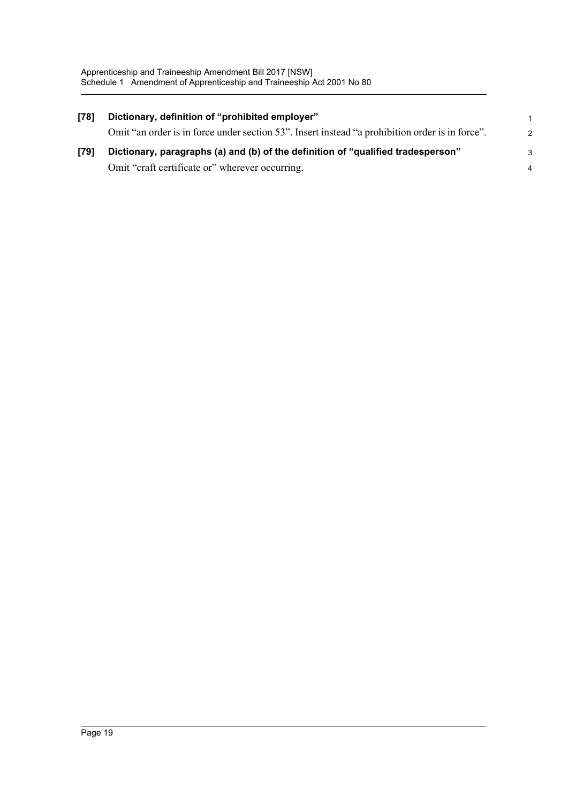| [78] | Dictionary, definition of "prohibited employer"                                                 | $\mathbf{1}$   |
|------|-------------------------------------------------------------------------------------------------|----------------|
|      | Omit "an order is in force under section 53". Insert instead "a prohibition order is in force". | $\mathcal{P}$  |
| [79] | Dictionary, paragraphs (a) and (b) of the definition of "qualified tradesperson"                | 3              |
|      | Omit "craft certificate or" wherever occurring.                                                 | $\overline{4}$ |